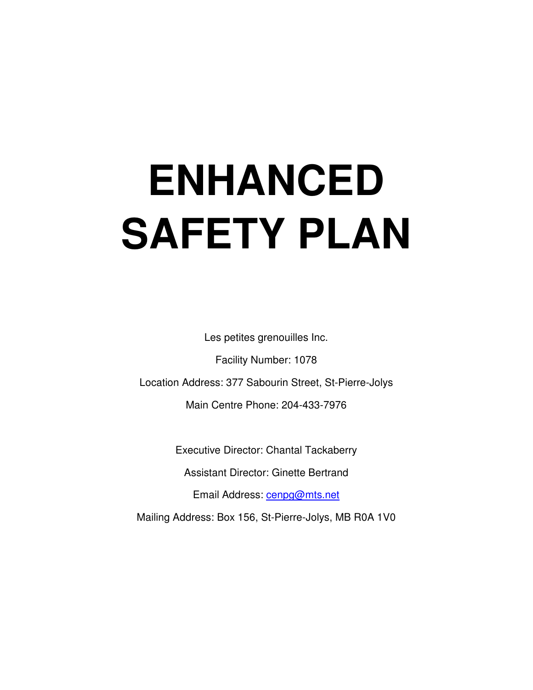# **ENHANCED SAFETY PLAN**

Les petites grenouilles Inc.

Facility Number: 1078 Location Address: 377 Sabourin Street, St-Pierre-Jolys Main Centre Phone: 204-433-7976

Executive Director: Chantal Tackaberry

Assistant Director: Ginette Bertrand

Email Address: cenpg@mts.net

Mailing Address: Box 156, St-Pierre-Jolys, MB R0A 1V0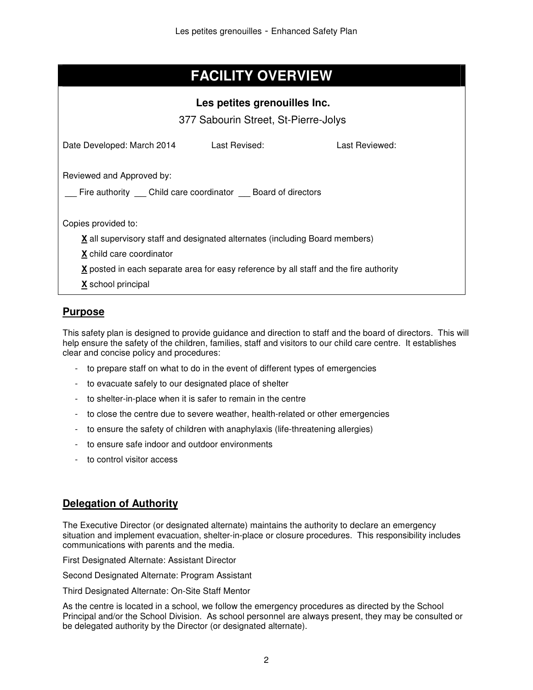# **FACILITY OVERVIEW**

| Les petites grenouilles Inc.<br>377 Sabourin Street, St-Pierre-Jolys                                                                         |               |                |
|----------------------------------------------------------------------------------------------------------------------------------------------|---------------|----------------|
| Date Developed: March 2014                                                                                                                   | Last Revised: | Last Reviewed: |
| Reviewed and Approved by:<br>Fire authority Child care coordinator Board of directors                                                        |               |                |
| Copies provided to:<br><b>X</b> all supervisory staff and designated alternates (including Board members)<br><b>X</b> child care coordinator |               |                |
| X posted in each separate area for easy reference by all staff and the fire authority<br><b>X</b> school principal                           |               |                |

## **Purpose**

This safety plan is designed to provide guidance and direction to staff and the board of directors. This will help ensure the safety of the children, families, staff and visitors to our child care centre. It establishes clear and concise policy and procedures:

- to prepare staff on what to do in the event of different types of emergencies
- to evacuate safely to our designated place of shelter
- to shelter-in-place when it is safer to remain in the centre
- to close the centre due to severe weather, health-related or other emergencies
- to ensure the safety of children with anaphylaxis (life-threatening allergies)
- to ensure safe indoor and outdoor environments
- to control visitor access

## **Delegation of Authority**

The Executive Director (or designated alternate) maintains the authority to declare an emergency situation and implement evacuation, shelter-in-place or closure procedures. This responsibility includes communications with parents and the media.

First Designated Alternate: Assistant Director

Second Designated Alternate: Program Assistant

Third Designated Alternate: On-Site Staff Mentor

As the centre is located in a school, we follow the emergency procedures as directed by the School Principal and/or the School Division. As school personnel are always present, they may be consulted or be delegated authority by the Director (or designated alternate).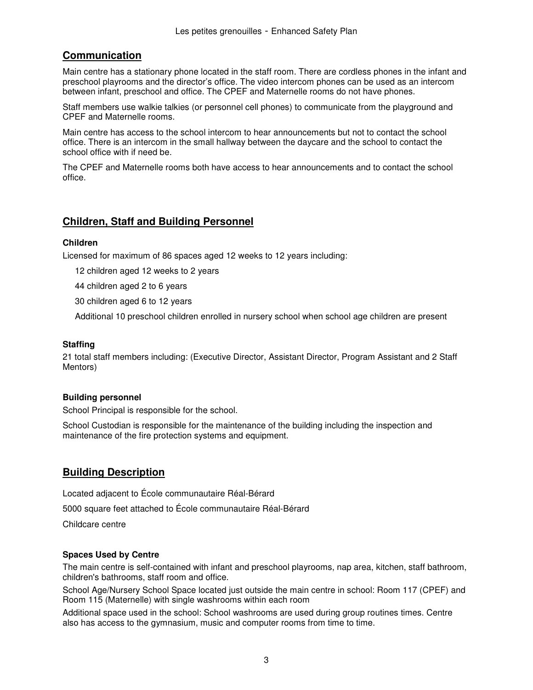## **Communication**

Main centre has a stationary phone located in the staff room. There are cordless phones in the infant and preschool playrooms and the director's office. The video intercom phones can be used as an intercom between infant, preschool and office. The CPEF and Maternelle rooms do not have phones.

Staff members use walkie talkies (or personnel cell phones) to communicate from the playground and CPEF and Maternelle rooms.

Main centre has access to the school intercom to hear announcements but not to contact the school office. There is an intercom in the small hallway between the daycare and the school to contact the school office with if need be.

The CPEF and Maternelle rooms both have access to hear announcements and to contact the school office.

#### **Children, Staff and Building Personnel**

#### **Children**

Licensed for maximum of 86 spaces aged 12 weeks to 12 years including:

12 children aged 12 weeks to 2 years

44 children aged 2 to 6 years

30 children aged 6 to 12 years

Additional 10 preschool children enrolled in nursery school when school age children are present

#### **Staffing**

21 total staff members including: (Executive Director, Assistant Director, Program Assistant and 2 Staff Mentors)

#### **Building personnel**

School Principal is responsible for the school.

School Custodian is responsible for the maintenance of the building including the inspection and maintenance of the fire protection systems and equipment.

#### **Building Description**

Located adjacent to École communautaire Réal-Bérard 5000 square feet attached to École communautaire Réal-Bérard Childcare centre

#### **Spaces Used by Centre**

The main centre is self-contained with infant and preschool playrooms, nap area, kitchen, staff bathroom, children's bathrooms, staff room and office.

School Age/Nursery School Space located just outside the main centre in school: Room 117 (CPEF) and Room 115 (Maternelle) with single washrooms within each room

Additional space used in the school: School washrooms are used during group routines times. Centre also has access to the gymnasium, music and computer rooms from time to time.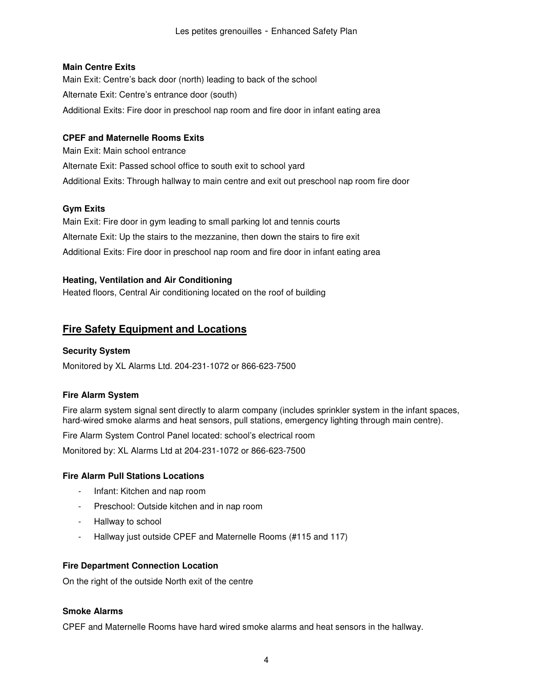#### **Main Centre Exits**

Main Exit: Centre's back door (north) leading to back of the school Alternate Exit: Centre's entrance door (south) Additional Exits: Fire door in preschool nap room and fire door in infant eating area

#### **CPEF and Maternelle Rooms Exits**

Main Exit: Main school entrance Alternate Exit: Passed school office to south exit to school yard Additional Exits: Through hallway to main centre and exit out preschool nap room fire door

#### **Gym Exits**

Main Exit: Fire door in gym leading to small parking lot and tennis courts Alternate Exit: Up the stairs to the mezzanine, then down the stairs to fire exit Additional Exits: Fire door in preschool nap room and fire door in infant eating area

#### **Heating, Ventilation and Air Conditioning**

Heated floors, Central Air conditioning located on the roof of building

## **Fire Safety Equipment and Locations**

#### **Security System**

Monitored by XL Alarms Ltd. 204-231-1072 or 866-623-7500

#### **Fire Alarm System**

Fire alarm system signal sent directly to alarm company (includes sprinkler system in the infant spaces, hard-wired smoke alarms and heat sensors, pull stations, emergency lighting through main centre).

Fire Alarm System Control Panel located: school's electrical room

Monitored by: XL Alarms Ltd at 204-231-1072 or 866-623-7500

#### **Fire Alarm Pull Stations Locations**

- Infant: Kitchen and nap room
- Preschool: Outside kitchen and in nap room
- Hallway to school
- Hallway just outside CPEF and Maternelle Rooms (#115 and 117)

#### **Fire Department Connection Location**

On the right of the outside North exit of the centre

#### **Smoke Alarms**

CPEF and Maternelle Rooms have hard wired smoke alarms and heat sensors in the hallway.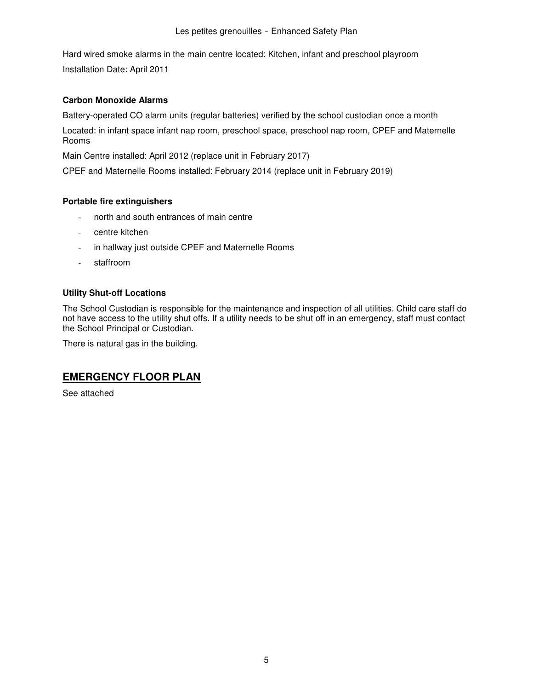Hard wired smoke alarms in the main centre located: Kitchen, infant and preschool playroom Installation Date: April 2011

#### **Carbon Monoxide Alarms**

Battery-operated CO alarm units (regular batteries) verified by the school custodian once a month

Located: in infant space infant nap room, preschool space, preschool nap room, CPEF and Maternelle Rooms

Main Centre installed: April 2012 (replace unit in February 2017)

CPEF and Maternelle Rooms installed: February 2014 (replace unit in February 2019)

#### **Portable fire extinguishers**

- north and south entrances of main centre
- centre kitchen
- in hallway just outside CPEF and Maternelle Rooms
- staffroom

#### **Utility Shut-off Locations**

The School Custodian is responsible for the maintenance and inspection of all utilities. Child care staff do not have access to the utility shut offs. If a utility needs to be shut off in an emergency, staff must contact the School Principal or Custodian.

There is natural gas in the building.

## **EMERGENCY FLOOR PLAN**

See attached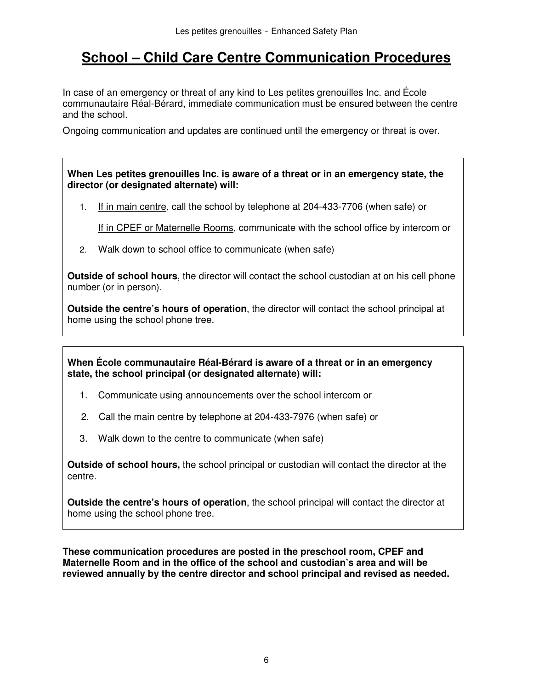# **School – Child Care Centre Communication Procedures**

In case of an emergency or threat of any kind to Les petites grenouilles Inc. and École communautaire Réal-Bérard, immediate communication must be ensured between the centre and the school.

Ongoing communication and updates are continued until the emergency or threat is over.

**When Les petites grenouilles Inc. is aware of a threat or in an emergency state, the director (or designated alternate) will:** 

1. If in main centre, call the school by telephone at 204-433-7706 (when safe) or

If in CPEF or Maternelle Rooms, communicate with the school office by intercom or

2. Walk down to school office to communicate (when safe)

**Outside of school hours**, the director will contact the school custodian at on his cell phone number (or in person).

**Outside the centre's hours of operation**, the director will contact the school principal at home using the school phone tree.

**When École communautaire Réal-Bérard is aware of a threat or in an emergency state, the school principal (or designated alternate) will:** 

- 1. Communicate using announcements over the school intercom or
- 2. Call the main centre by telephone at 204-433-7976 (when safe) or
- 3. Walk down to the centre to communicate (when safe)

**Outside of school hours,** the school principal or custodian will contact the director at the centre.

**Outside the centre's hours of operation**, the school principal will contact the director at home using the school phone tree.

**These communication procedures are posted in the preschool room, CPEF and Maternelle Room and in the office of the school and custodian's area and will be reviewed annually by the centre director and school principal and revised as needed.**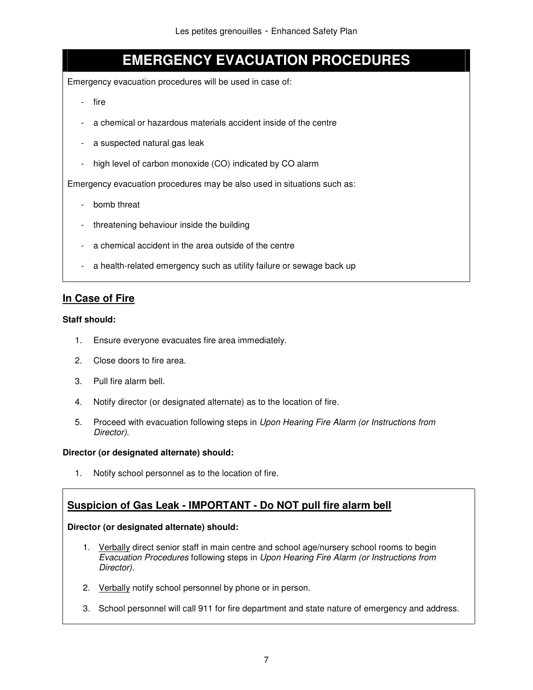# **EMERGENCY EVACUATION PROCEDURES**

Emergency evacuation procedures will be used in case of:

- fire
- a chemical or hazardous materials accident inside of the centre
- a suspected natural gas leak
- high level of carbon monoxide (CO) indicated by CO alarm

Emergency evacuation procedures may be also used in situations such as:

- bomb threat
- threatening behaviour inside the building
- a chemical accident in the area outside of the centre
- a health-related emergency such as utility failure or sewage back up

## **In Case of Fire**

#### **Staff should:**

- 1. Ensure everyone evacuates fire area immediately.
- 2. Close doors to fire area.
- 3. Pull fire alarm bell.
- 4. Notify director (or designated alternate) as to the location of fire.
- 5. Proceed with evacuation following steps in Upon Hearing Fire Alarm (or Instructions from Director).

#### **Director (or designated alternate) should:**

1. Notify school personnel as to the location of fire.

## **Suspicion of Gas Leak - IMPORTANT - Do NOT pull fire alarm bell**

- 1. Verbally direct senior staff in main centre and school age/nursery school rooms to begin Evacuation Procedures following steps in Upon Hearing Fire Alarm (or Instructions from Director).
- 2. Verbally notify school personnel by phone or in person.
- 3. School personnel will call 911 for fire department and state nature of emergency and address.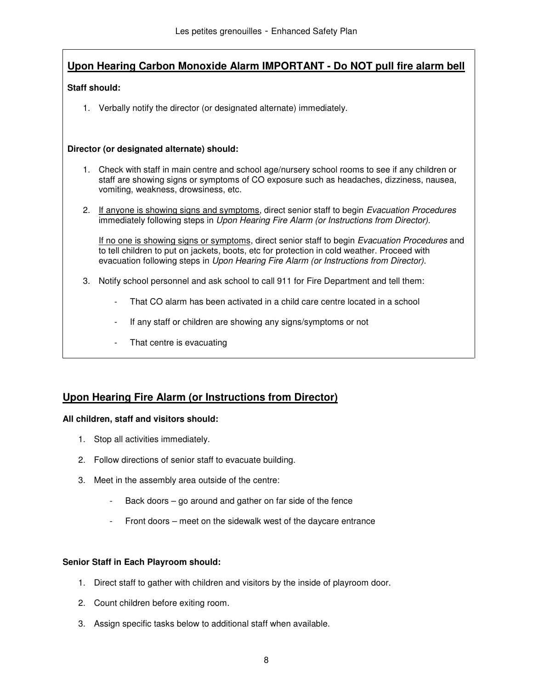## **Upon Hearing Carbon Monoxide Alarm IMPORTANT - Do NOT pull fire alarm bell**

#### **Staff should:**

1. Verbally notify the director (or designated alternate) immediately.

#### **Director (or designated alternate) should:**

- 1. Check with staff in main centre and school age/nursery school rooms to see if any children or staff are showing signs or symptoms of CO exposure such as headaches, dizziness, nausea, vomiting, weakness, drowsiness, etc.
- 2. If anyone is showing signs and symptoms, direct senior staff to begin Evacuation Procedures immediately following steps in Upon Hearing Fire Alarm (or Instructions from Director).

If no one is showing signs or symptoms, direct senior staff to begin Evacuation Procedures and to tell children to put on jackets, boots, etc for protection in cold weather. Proceed with evacuation following steps in Upon Hearing Fire Alarm (or Instructions from Director).

- 3. Notify school personnel and ask school to call 911 for Fire Department and tell them:
	- That CO alarm has been activated in a child care centre located in a school
	- If any staff or children are showing any signs/symptoms or not
	- That centre is evacuating

#### **Upon Hearing Fire Alarm (or Instructions from Director)**

#### **All children, staff and visitors should:**

- 1. Stop all activities immediately.
- 2. Follow directions of senior staff to evacuate building.
- 3. Meet in the assembly area outside of the centre:
	- Back doors  $-$  go around and gather on far side of the fence
	- Front doors meet on the sidewalk west of the daycare entrance

#### **Senior Staff in Each Playroom should:**

- 1. Direct staff to gather with children and visitors by the inside of playroom door.
- 2. Count children before exiting room.
- 3. Assign specific tasks below to additional staff when available.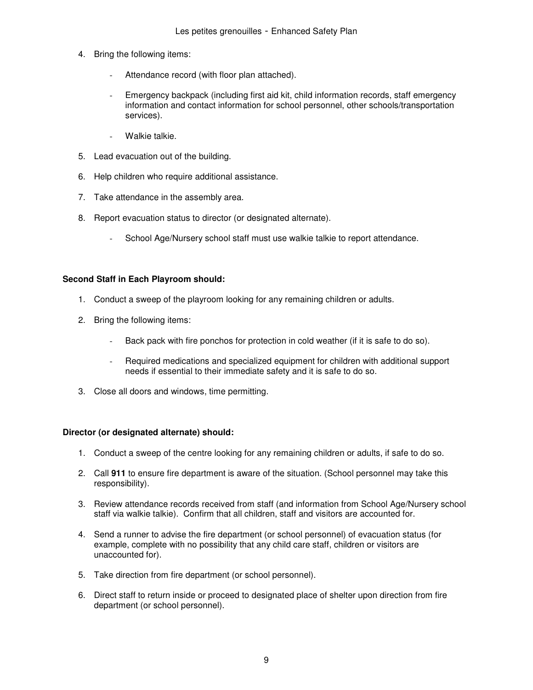- 4. Bring the following items:
	- Attendance record (with floor plan attached).
	- Emergency backpack (including first aid kit, child information records, staff emergency information and contact information for school personnel, other schools/transportation services).
	- Walkie talkie.
- 5. Lead evacuation out of the building.
- 6. Help children who require additional assistance.
- 7. Take attendance in the assembly area.
- 8. Report evacuation status to director (or designated alternate).
	- School Age/Nursery school staff must use walkie talkie to report attendance.

#### **Second Staff in Each Playroom should:**

- 1. Conduct a sweep of the playroom looking for any remaining children or adults.
- 2. Bring the following items:
	- Back pack with fire ponchos for protection in cold weather (if it is safe to do so).
	- Required medications and specialized equipment for children with additional support needs if essential to their immediate safety and it is safe to do so.
- 3. Close all doors and windows, time permitting.

- 1. Conduct a sweep of the centre looking for any remaining children or adults, if safe to do so.
- 2. Call **911** to ensure fire department is aware of the situation. (School personnel may take this responsibility).
- 3. Review attendance records received from staff (and information from School Age/Nursery school staff via walkie talkie). Confirm that all children, staff and visitors are accounted for.
- 4. Send a runner to advise the fire department (or school personnel) of evacuation status (for example, complete with no possibility that any child care staff, children or visitors are unaccounted for).
- 5. Take direction from fire department (or school personnel).
- 6. Direct staff to return inside or proceed to designated place of shelter upon direction from fire department (or school personnel).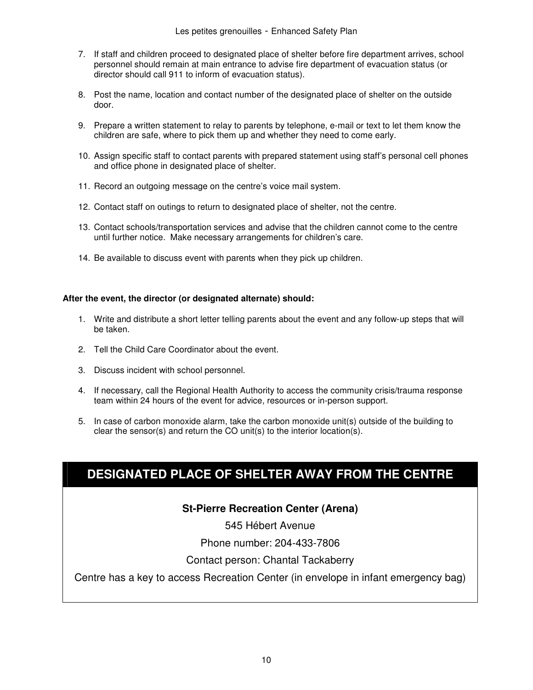- 7. If staff and children proceed to designated place of shelter before fire department arrives, school personnel should remain at main entrance to advise fire department of evacuation status (or director should call 911 to inform of evacuation status).
- 8. Post the name, location and contact number of the designated place of shelter on the outside door.
- 9. Prepare a written statement to relay to parents by telephone, e-mail or text to let them know the children are safe, where to pick them up and whether they need to come early.
- 10. Assign specific staff to contact parents with prepared statement using staff's personal cell phones and office phone in designated place of shelter.
- 11. Record an outgoing message on the centre's voice mail system.
- 12. Contact staff on outings to return to designated place of shelter, not the centre.
- 13. Contact schools/transportation services and advise that the children cannot come to the centre until further notice. Make necessary arrangements for children's care.
- 14. Be available to discuss event with parents when they pick up children.

#### **After the event, the director (or designated alternate) should:**

- 1. Write and distribute a short letter telling parents about the event and any follow-up steps that will be taken.
- 2. Tell the Child Care Coordinator about the event.
- 3. Discuss incident with school personnel.
- 4. If necessary, call the Regional Health Authority to access the community crisis/trauma response team within 24 hours of the event for advice, resources or in-person support.
- 5. In case of carbon monoxide alarm, take the carbon monoxide unit(s) outside of the building to clear the sensor(s) and return the CO unit(s) to the interior location(s).

# **DESIGNATED PLACE OF SHELTER AWAY FROM THE CENTRE**

#### **St-Pierre Recreation Center (Arena)**

545 Hébert Avenue

Phone number: 204-433-7806

#### Contact person: Chantal Tackaberry

Centre has a key to access Recreation Center (in envelope in infant emergency bag)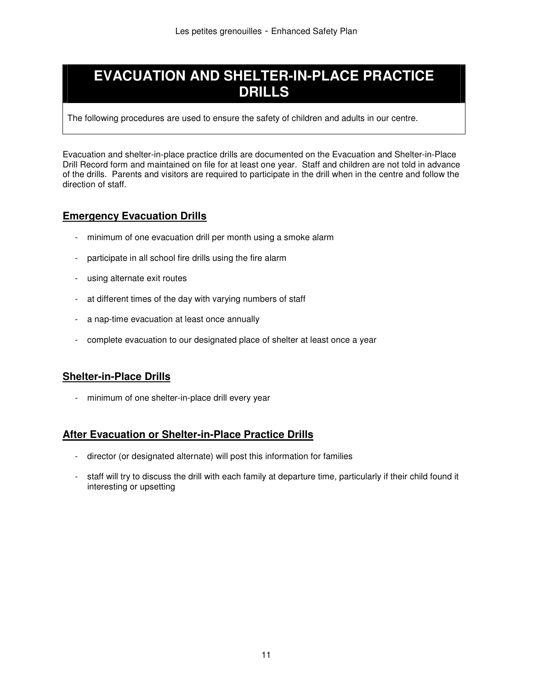# **EVACUATION AND SHELTER-IN-PLACE PRACTICE DRILLS**

The following procedures are used to ensure the safety of children and adults in our centre.

Evacuation and shelter-in-place practice drills are documented on the Evacuation and Shelter-in-Place Drill Record form and maintained on file for at least one year. Staff and children are not told in advance of the drills. Parents and visitors are required to participate in the drill when in the centre and follow the direction of staff.

## **Emergency Evacuation Drills**

- minimum of one evacuation drill per month using a smoke alarm
- participate in all school fire drills using the fire alarm
- using alternate exit routes
- at different times of the day with varying numbers of staff
- a nap-time evacuation at least once annually
- complete evacuation to our designated place of shelter at least once a year

#### **Shelter-in-Place Drills**

- minimum of one shelter-in-place drill every year

## **After Evacuation or Shelter-in-Place Practice Drills**

- director (or designated alternate) will post this information for families
- staff will try to discuss the drill with each family at departure time, particularly if their child found it interesting or upsetting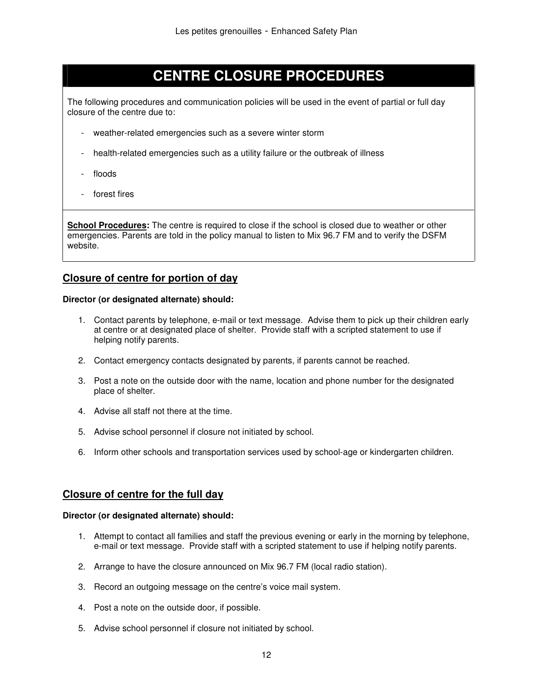# **CENTRE CLOSURE PROCEDURES**

The following procedures and communication policies will be used in the event of partial or full day closure of the centre due to:

- weather-related emergencies such as a severe winter storm
- health-related emergencies such as a utility failure or the outbreak of illness
- floods
- forest fires

**School Procedures:** The centre is required to close if the school is closed due to weather or other emergencies. Parents are told in the policy manual to listen to Mix 96.7 FM and to verify the DSFM website.

#### **Closure of centre for portion of day**

#### **Director (or designated alternate) should:**

- 1. Contact parents by telephone, e-mail or text message. Advise them to pick up their children early at centre or at designated place of shelter. Provide staff with a scripted statement to use if helping notify parents.
- 2. Contact emergency contacts designated by parents, if parents cannot be reached.
- 3. Post a note on the outside door with the name, location and phone number for the designated place of shelter.
- 4. Advise all staff not there at the time.
- 5. Advise school personnel if closure not initiated by school.
- 6. Inform other schools and transportation services used by school-age or kindergarten children.

#### **Closure of centre for the full day**

- 1. Attempt to contact all families and staff the previous evening or early in the morning by telephone, e-mail or text message. Provide staff with a scripted statement to use if helping notify parents.
- 2. Arrange to have the closure announced on Mix 96.7 FM (local radio station).
- 3. Record an outgoing message on the centre's voice mail system.
- 4. Post a note on the outside door, if possible.
- 5. Advise school personnel if closure not initiated by school.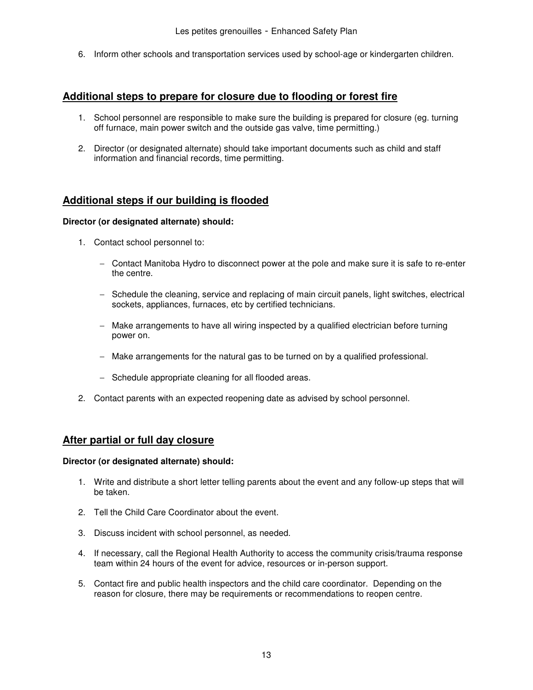6. Inform other schools and transportation services used by school-age or kindergarten children.

#### **Additional steps to prepare for closure due to flooding or forest fire**

- 1. School personnel are responsible to make sure the building is prepared for closure (eg. turning off furnace, main power switch and the outside gas valve, time permitting.)
- 2. Director (or designated alternate) should take important documents such as child and staff information and financial records, time permitting.

#### **Additional steps if our building is flooded**

#### **Director (or designated alternate) should:**

- 1. Contact school personnel to:
	- − Contact Manitoba Hydro to disconnect power at the pole and make sure it is safe to re-enter the centre.
	- − Schedule the cleaning, service and replacing of main circuit panels, light switches, electrical sockets, appliances, furnaces, etc by certified technicians.
	- − Make arrangements to have all wiring inspected by a qualified electrician before turning power on.
	- − Make arrangements for the natural gas to be turned on by a qualified professional.
	- − Schedule appropriate cleaning for all flooded areas.
- 2. Contact parents with an expected reopening date as advised by school personnel.

#### **After partial or full day closure**

- 1. Write and distribute a short letter telling parents about the event and any follow-up steps that will be taken.
- 2. Tell the Child Care Coordinator about the event.
- 3. Discuss incident with school personnel, as needed.
- 4. If necessary, call the Regional Health Authority to access the community crisis/trauma response team within 24 hours of the event for advice, resources or in-person support.
- 5. Contact fire and public health inspectors and the child care coordinator. Depending on the reason for closure, there may be requirements or recommendations to reopen centre.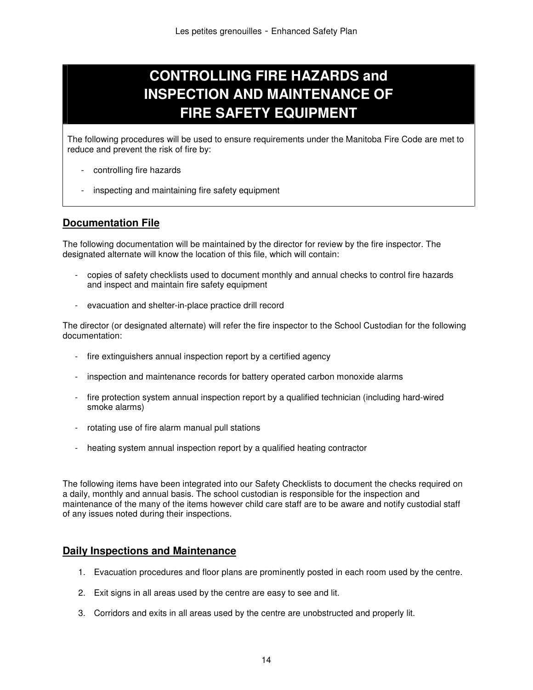# **CONTROLLING FIRE HAZARDS and INSPECTION AND MAINTENANCE OF FIRE SAFETY EQUIPMENT**

The following procedures will be used to ensure requirements under the Manitoba Fire Code are met to reduce and prevent the risk of fire by:

- controlling fire hazards
- inspecting and maintaining fire safety equipment

#### **Documentation File**

The following documentation will be maintained by the director for review by the fire inspector. The designated alternate will know the location of this file, which will contain:

- copies of safety checklists used to document monthly and annual checks to control fire hazards and inspect and maintain fire safety equipment
- evacuation and shelter-in-place practice drill record

The director (or designated alternate) will refer the fire inspector to the School Custodian for the following documentation:

- fire extinguishers annual inspection report by a certified agency
- inspection and maintenance records for battery operated carbon monoxide alarms
- fire protection system annual inspection report by a qualified technician (including hard-wired smoke alarms)
- rotating use of fire alarm manual pull stations
- heating system annual inspection report by a qualified heating contractor

The following items have been integrated into our Safety Checklists to document the checks required on a daily, monthly and annual basis. The school custodian is responsible for the inspection and maintenance of the many of the items however child care staff are to be aware and notify custodial staff of any issues noted during their inspections.

#### **Daily Inspections and Maintenance**

- 1. Evacuation procedures and floor plans are prominently posted in each room used by the centre.
- 2. Exit signs in all areas used by the centre are easy to see and lit.
- 3. Corridors and exits in all areas used by the centre are unobstructed and properly lit.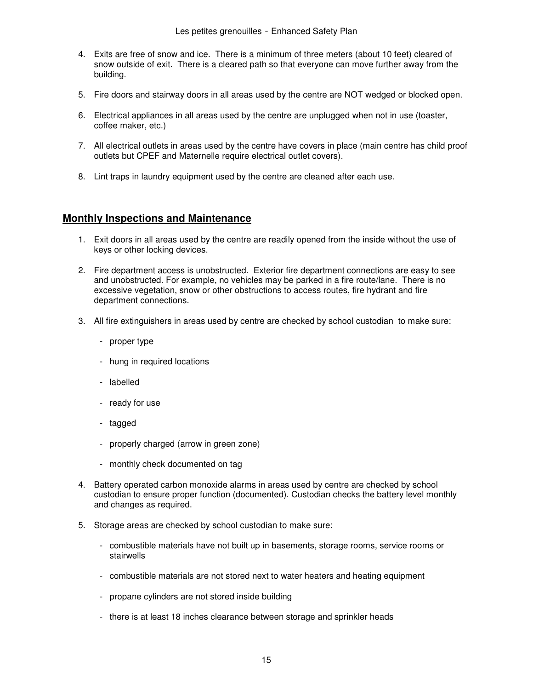- 4. Exits are free of snow and ice. There is a minimum of three meters (about 10 feet) cleared of snow outside of exit. There is a cleared path so that everyone can move further away from the building.
- 5. Fire doors and stairway doors in all areas used by the centre are NOT wedged or blocked open.
- 6. Electrical appliances in all areas used by the centre are unplugged when not in use (toaster, coffee maker, etc.)
- 7. All electrical outlets in areas used by the centre have covers in place (main centre has child proof outlets but CPEF and Maternelle require electrical outlet covers).
- 8. Lint traps in laundry equipment used by the centre are cleaned after each use.

#### **Monthly Inspections and Maintenance**

- 1. Exit doors in all areas used by the centre are readily opened from the inside without the use of keys or other locking devices.
- 2. Fire department access is unobstructed. Exterior fire department connections are easy to see and unobstructed. For example, no vehicles may be parked in a fire route/lane. There is no excessive vegetation, snow or other obstructions to access routes, fire hydrant and fire department connections.
- 3. All fire extinguishers in areas used by centre are checked by school custodian to make sure:
	- proper type
	- hung in required locations
	- labelled
	- ready for use
	- tagged
	- properly charged (arrow in green zone)
	- monthly check documented on tag
- 4. Battery operated carbon monoxide alarms in areas used by centre are checked by school custodian to ensure proper function (documented). Custodian checks the battery level monthly and changes as required.
- 5. Storage areas are checked by school custodian to make sure:
	- combustible materials have not built up in basements, storage rooms, service rooms or stairwells
	- combustible materials are not stored next to water heaters and heating equipment
	- propane cylinders are not stored inside building
	- there is at least 18 inches clearance between storage and sprinkler heads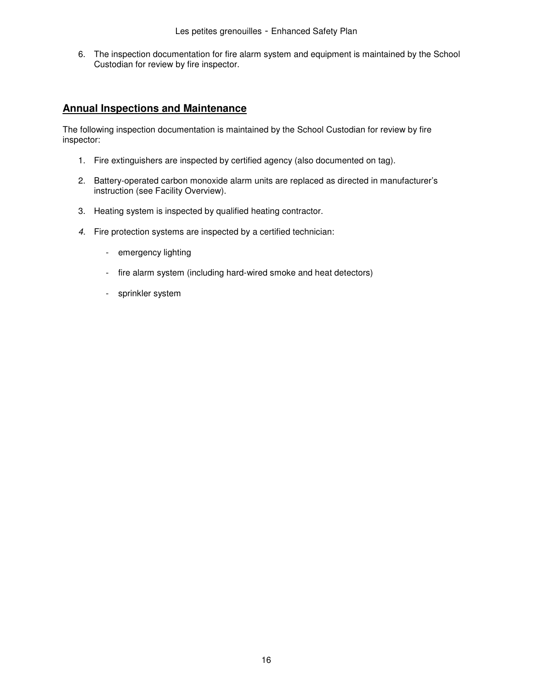6. The inspection documentation for fire alarm system and equipment is maintained by the School Custodian for review by fire inspector.

#### **Annual Inspections and Maintenance**

The following inspection documentation is maintained by the School Custodian for review by fire inspector:

- 1. Fire extinguishers are inspected by certified agency (also documented on tag).
- 2. Battery-operated carbon monoxide alarm units are replaced as directed in manufacturer's instruction (see Facility Overview).
- 3. Heating system is inspected by qualified heating contractor.
- 4. Fire protection systems are inspected by a certified technician:
	- emergency lighting
	- fire alarm system (including hard-wired smoke and heat detectors)
	- sprinkler system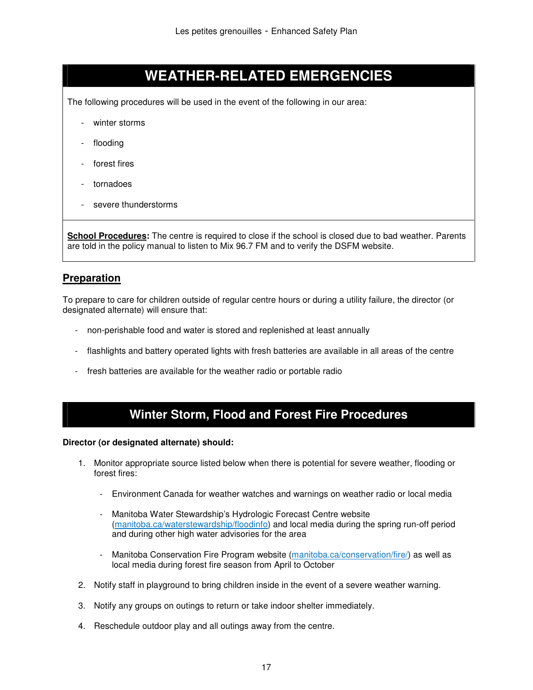# **WEATHER-RELATED EMERGENCIES**

The following procedures will be used in the event of the following in our area:

- winter storms
- flooding
- forest fires
- tornadoes
- severe thunderstorms

**School Procedures:** The centre is required to close if the school is closed due to bad weather. Parents are told in the policy manual to listen to Mix 96.7 FM and to verify the DSFM website.

#### **Preparation**

To prepare to care for children outside of regular centre hours or during a utility failure, the director (or designated alternate) will ensure that:

- non-perishable food and water is stored and replenished at least annually
- flashlights and battery operated lights with fresh batteries are available in all areas of the centre
- fresh batteries are available for the weather radio or portable radio

## **Winter Storm, Flood and Forest Fire Procedures**

- 1. Monitor appropriate source listed below when there is potential for severe weather, flooding or forest fires:
	- Environment Canada for weather watches and warnings on weather radio or local media
	- Manitoba Water Stewardship's Hydrologic Forecast Centre website (manitoba.ca/waterstewardship/floodinfo) and local media during the spring run-off period and during other high water advisories for the area
	- Manitoba Conservation Fire Program website (manitoba.ca/conservation/fire/) as well as local media during forest fire season from April to October
- 2. Notify staff in playground to bring children inside in the event of a severe weather warning.
- 3. Notify any groups on outings to return or take indoor shelter immediately.
- 4. Reschedule outdoor play and all outings away from the centre.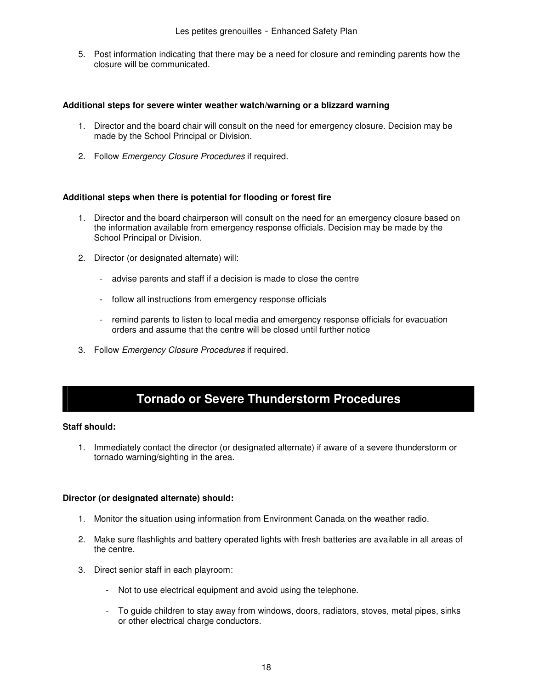5. Post information indicating that there may be a need for closure and reminding parents how the closure will be communicated.

#### **Additional steps for severe winter weather watch/warning or a blizzard warning**

- 1. Director and the board chair will consult on the need for emergency closure. Decision may be made by the School Principal or Division.
- 2. Follow *Emergency Closure Procedures* if required.

#### **Additional steps when there is potential for flooding or forest fire**

- 1. Director and the board chairperson will consult on the need for an emergency closure based on the information available from emergency response officials. Decision may be made by the School Principal or Division.
- 2. Director (or designated alternate) will:
	- advise parents and staff if a decision is made to close the centre
	- follow all instructions from emergency response officials
	- remind parents to listen to local media and emergency response officials for evacuation orders and assume that the centre will be closed until further notice
- 3. Follow Emergency Closure Procedures if required.

# **Tornado or Severe Thunderstorm Procedures**

#### **Staff should:**

1. Immediately contact the director (or designated alternate) if aware of a severe thunderstorm or tornado warning/sighting in the area.

- 1. Monitor the situation using information from Environment Canada on the weather radio.
- 2. Make sure flashlights and battery operated lights with fresh batteries are available in all areas of the centre.
- 3. Direct senior staff in each playroom:
	- Not to use electrical equipment and avoid using the telephone.
	- To guide children to stay away from windows, doors, radiators, stoves, metal pipes, sinks or other electrical charge conductors.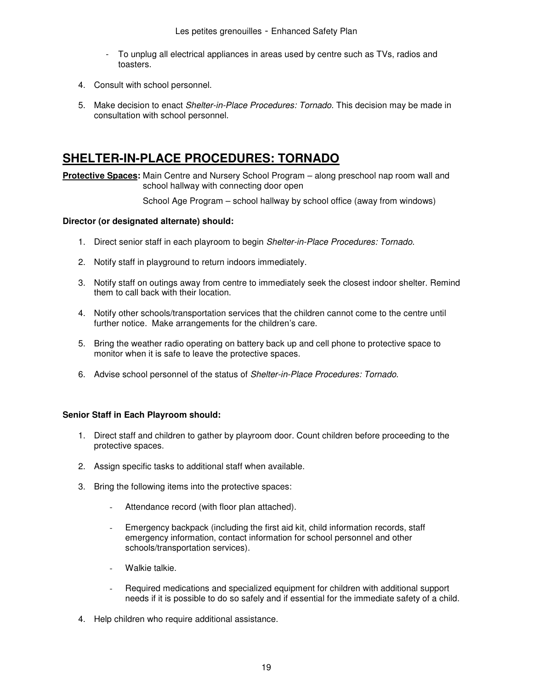- To unplug all electrical appliances in areas used by centre such as TVs, radios and toasters.
- 4. Consult with school personnel.
- 5. Make decision to enact Shelter-in-Place Procedures: Tornado. This decision may be made in consultation with school personnel.

## **SHELTER-IN-PLACE PROCEDURES: TORNADO**

**Protective Spaces:** Main Centre and Nursery School Program – along preschool nap room wall and school hallway with connecting door open

School Age Program – school hallway by school office (away from windows)

#### **Director (or designated alternate) should:**

- 1. Direct senior staff in each playroom to begin Shelter-in-Place Procedures: Tornado.
- 2. Notify staff in playground to return indoors immediately.
- 3. Notify staff on outings away from centre to immediately seek the closest indoor shelter. Remind them to call back with their location.
- 4. Notify other schools/transportation services that the children cannot come to the centre until further notice. Make arrangements for the children's care.
- 5. Bring the weather radio operating on battery back up and cell phone to protective space to monitor when it is safe to leave the protective spaces.
- 6. Advise school personnel of the status of Shelter-in-Place Procedures: Tornado.

#### **Senior Staff in Each Playroom should:**

- 1. Direct staff and children to gather by playroom door. Count children before proceeding to the protective spaces.
- 2. Assign specific tasks to additional staff when available.
- 3. Bring the following items into the protective spaces:
	- Attendance record (with floor plan attached).
	- Emergency backpack (including the first aid kit, child information records, staff emergency information, contact information for school personnel and other schools/transportation services).
	- Walkie talkie.
	- Required medications and specialized equipment for children with additional support needs if it is possible to do so safely and if essential for the immediate safety of a child.
- 4. Help children who require additional assistance.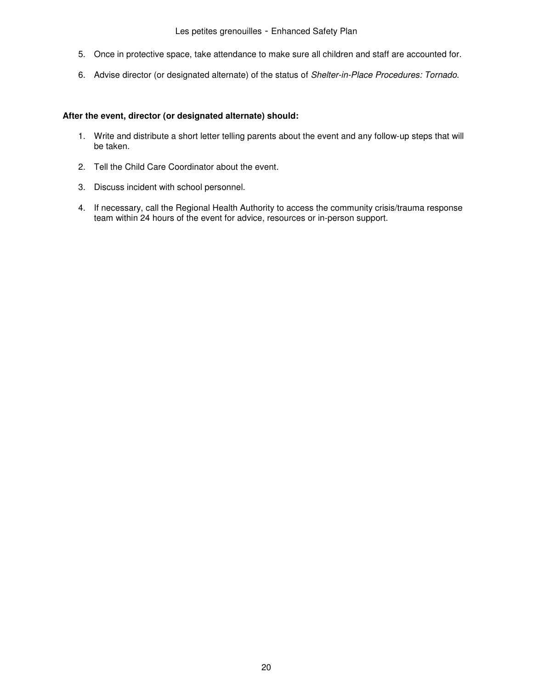- 5. Once in protective space, take attendance to make sure all children and staff are accounted for.
- 6. Advise director (or designated alternate) of the status of Shelter-in-Place Procedures: Tornado.

#### **After the event, director (or designated alternate) should:**

- 1. Write and distribute a short letter telling parents about the event and any follow-up steps that will be taken.
- 2. Tell the Child Care Coordinator about the event.
- 3. Discuss incident with school personnel.
- 4. If necessary, call the Regional Health Authority to access the community crisis/trauma response team within 24 hours of the event for advice, resources or in-person support.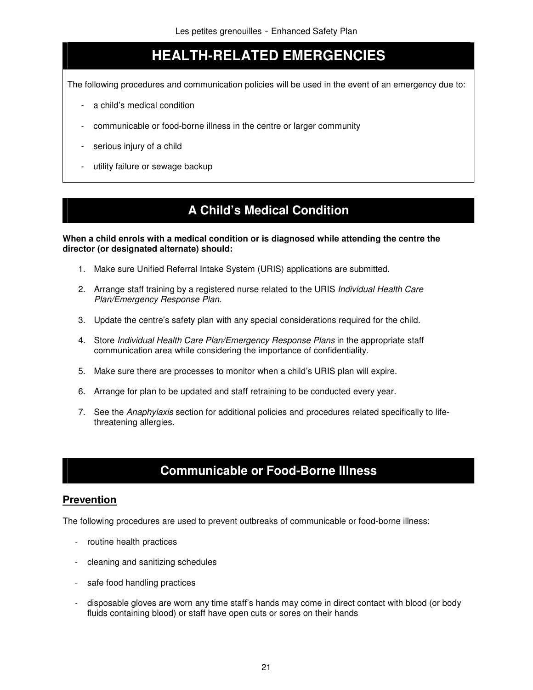# **HEALTH-RELATED EMERGENCIES**

The following procedures and communication policies will be used in the event of an emergency due to:

- a child's medical condition
- communicable or food-borne illness in the centre or larger community
- serious injury of a child
- utility failure or sewage backup

# **A Child's Medical Condition**

**When a child enrols with a medical condition or is diagnosed while attending the centre the director (or designated alternate) should:** 

- 1. Make sure Unified Referral Intake System (URIS) applications are submitted.
- 2. Arrange staff training by a registered nurse related to the URIS *Individual Health Care* Plan/Emergency Response Plan.
- 3. Update the centre's safety plan with any special considerations required for the child.
- 4. Store Individual Health Care Plan/Emergency Response Plans in the appropriate staff communication area while considering the importance of confidentiality.
- 5. Make sure there are processes to monitor when a child's URIS plan will expire.
- 6. Arrange for plan to be updated and staff retraining to be conducted every year.
- 7. See the Anaphylaxis section for additional policies and procedures related specifically to lifethreatening allergies.

## **Communicable or Food-Borne Illness**

#### **Prevention**

The following procedures are used to prevent outbreaks of communicable or food-borne illness:

- routine health practices
- cleaning and sanitizing schedules
- safe food handling practices
- disposable gloves are worn any time staff's hands may come in direct contact with blood (or body fluids containing blood) or staff have open cuts or sores on their hands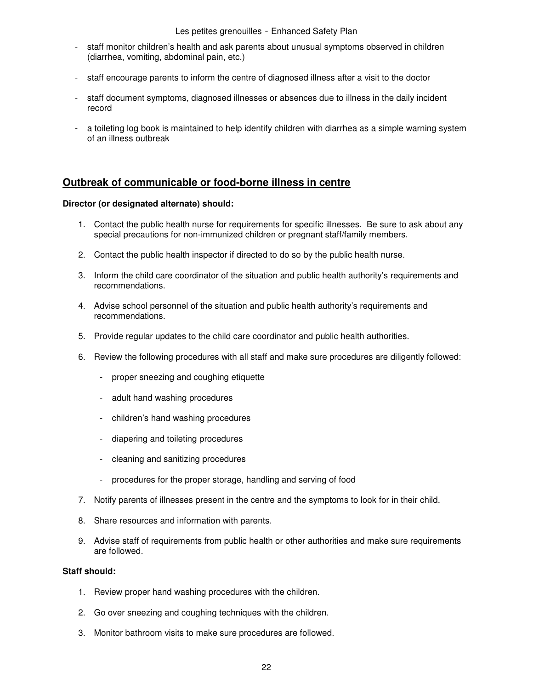Les petites grenouilles - Enhanced Safety Plan

- staff monitor children's health and ask parents about unusual symptoms observed in children (diarrhea, vomiting, abdominal pain, etc.)
- staff encourage parents to inform the centre of diagnosed illness after a visit to the doctor
- staff document symptoms, diagnosed illnesses or absences due to illness in the daily incident record
- a toileting log book is maintained to help identify children with diarrhea as a simple warning system of an illness outbreak

#### **Outbreak of communicable or food-borne illness in centre**

#### **Director (or designated alternate) should:**

- 1. Contact the public health nurse for requirements for specific illnesses. Be sure to ask about any special precautions for non-immunized children or pregnant staff/family members.
- 2. Contact the public health inspector if directed to do so by the public health nurse.
- 3. Inform the child care coordinator of the situation and public health authority's requirements and recommendations.
- 4. Advise school personnel of the situation and public health authority's requirements and recommendations.
- 5. Provide regular updates to the child care coordinator and public health authorities.
- 6. Review the following procedures with all staff and make sure procedures are diligently followed:
	- proper sneezing and coughing etiquette
	- adult hand washing procedures
	- children's hand washing procedures
	- diapering and toileting procedures
	- cleaning and sanitizing procedures
	- procedures for the proper storage, handling and serving of food
- 7. Notify parents of illnesses present in the centre and the symptoms to look for in their child.
- 8. Share resources and information with parents.
- 9. Advise staff of requirements from public health or other authorities and make sure requirements are followed.

#### **Staff should:**

- 1. Review proper hand washing procedures with the children.
- 2. Go over sneezing and coughing techniques with the children.
- 3. Monitor bathroom visits to make sure procedures are followed.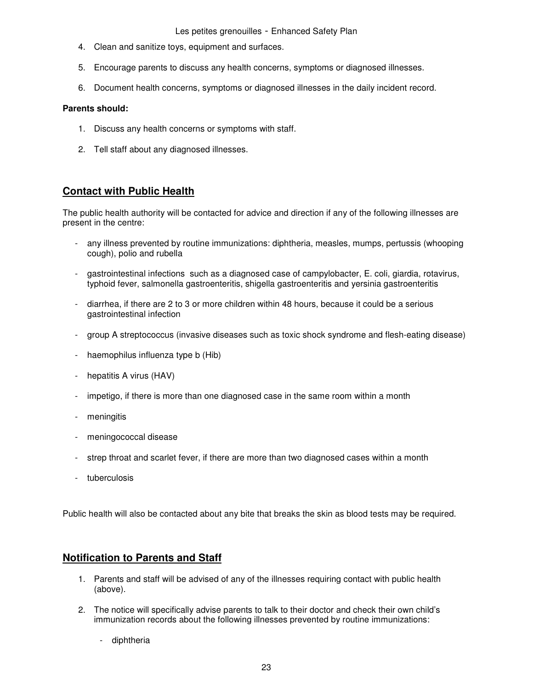Les petites grenouilles - Enhanced Safety Plan

- 4. Clean and sanitize toys, equipment and surfaces.
- 5. Encourage parents to discuss any health concerns, symptoms or diagnosed illnesses.
- 6. Document health concerns, symptoms or diagnosed illnesses in the daily incident record.

#### **Parents should:**

- 1. Discuss any health concerns or symptoms with staff.
- 2. Tell staff about any diagnosed illnesses.

#### **Contact with Public Health**

The public health authority will be contacted for advice and direction if any of the following illnesses are present in the centre:

- any illness prevented by routine immunizations: diphtheria, measles, mumps, pertussis (whooping cough), polio and rubella
- gastrointestinal infections such as a diagnosed case of campylobacter, E. coli, giardia, rotavirus, typhoid fever, salmonella gastroenteritis, shigella gastroenteritis and yersinia gastroenteritis
- diarrhea, if there are 2 to 3 or more children within 48 hours, because it could be a serious gastrointestinal infection
- group A streptococcus (invasive diseases such as toxic shock syndrome and flesh-eating disease)
- haemophilus influenza type b (Hib)
- hepatitis A virus (HAV)
- impetigo, if there is more than one diagnosed case in the same room within a month
- meningitis
- meningococcal disease
- strep throat and scarlet fever, if there are more than two diagnosed cases within a month
- tuberculosis

Public health will also be contacted about any bite that breaks the skin as blood tests may be required.

#### **Notification to Parents and Staff**

- 1. Parents and staff will be advised of any of the illnesses requiring contact with public health (above).
- 2. The notice will specifically advise parents to talk to their doctor and check their own child's immunization records about the following illnesses prevented by routine immunizations:
	- diphtheria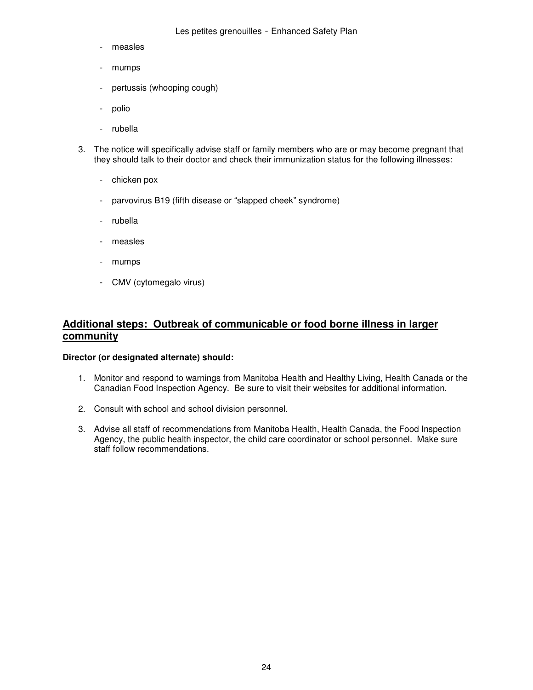- measles
- mumps
- pertussis (whooping cough)
- polio
- rubella
- 3. The notice will specifically advise staff or family members who are or may become pregnant that they should talk to their doctor and check their immunization status for the following illnesses:
	- chicken pox
	- parvovirus B19 (fifth disease or "slapped cheek" syndrome)
	- rubella
	- measles
	- mumps
	- CMV (cytomegalo virus)

#### **Additional steps: Outbreak of communicable or food borne illness in larger community**

- 1. Monitor and respond to warnings from Manitoba Health and Healthy Living, Health Canada or the Canadian Food Inspection Agency. Be sure to visit their websites for additional information.
- 2. Consult with school and school division personnel.
- 3. Advise all staff of recommendations from Manitoba Health, Health Canada, the Food Inspection Agency, the public health inspector, the child care coordinator or school personnel. Make sure staff follow recommendations.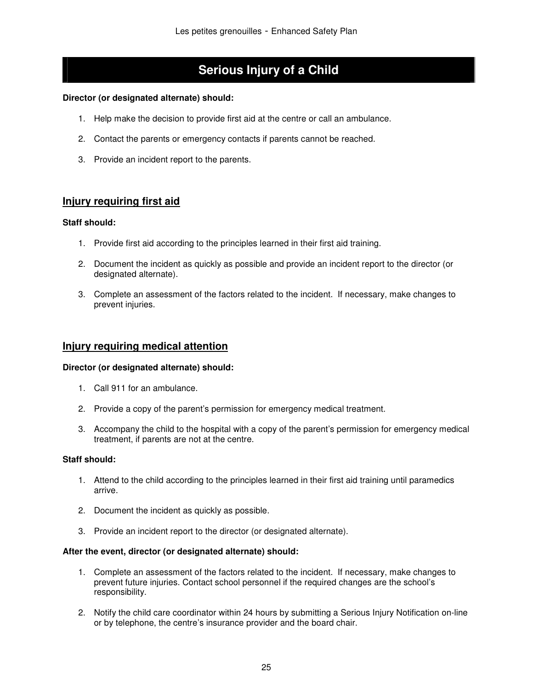# **Serious Injury of a Child**

#### **Director (or designated alternate) should:**

- 1. Help make the decision to provide first aid at the centre or call an ambulance.
- 2. Contact the parents or emergency contacts if parents cannot be reached.
- 3. Provide an incident report to the parents.

#### **Injury requiring first aid**

#### **Staff should:**

- 1. Provide first aid according to the principles learned in their first aid training.
- 2. Document the incident as quickly as possible and provide an incident report to the director (or designated alternate).
- 3. Complete an assessment of the factors related to the incident. If necessary, make changes to prevent injuries.

#### **Injury requiring medical attention**

#### **Director (or designated alternate) should:**

- 1. Call 911 for an ambulance.
- 2. Provide a copy of the parent's permission for emergency medical treatment.
- 3. Accompany the child to the hospital with a copy of the parent's permission for emergency medical treatment, if parents are not at the centre.

#### **Staff should:**

- 1. Attend to the child according to the principles learned in their first aid training until paramedics arrive.
- 2. Document the incident as quickly as possible.
- 3. Provide an incident report to the director (or designated alternate).

#### **After the event, director (or designated alternate) should:**

- 1. Complete an assessment of the factors related to the incident. If necessary, make changes to prevent future injuries. Contact school personnel if the required changes are the school's responsibility.
- 2. Notify the child care coordinator within 24 hours by submitting a Serious Injury Notification on-line or by telephone, the centre's insurance provider and the board chair.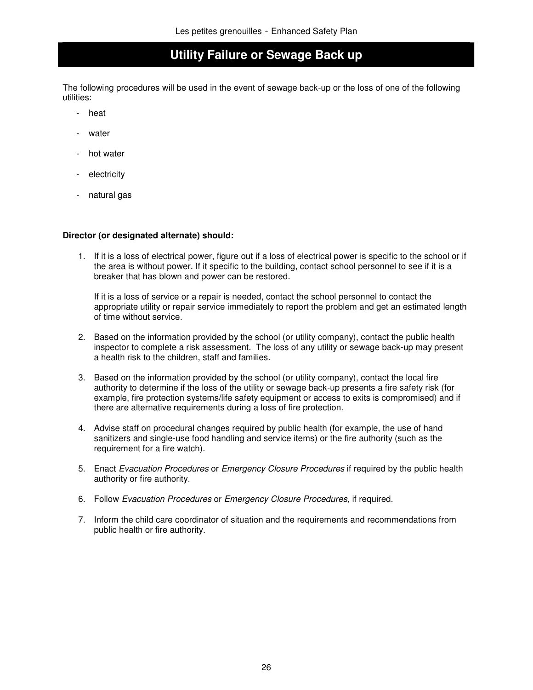## **Utility Failure or Sewage Back up**

The following procedures will be used in the event of sewage back-up or the loss of one of the following utilities:

- heat
- water
- hot water
- electricity
- natural gas

#### **Director (or designated alternate) should:**

1. If it is a loss of electrical power, figure out if a loss of electrical power is specific to the school or if the area is without power. If it specific to the building, contact school personnel to see if it is a breaker that has blown and power can be restored.

If it is a loss of service or a repair is needed, contact the school personnel to contact the appropriate utility or repair service immediately to report the problem and get an estimated length of time without service.

- 2. Based on the information provided by the school (or utility company), contact the public health inspector to complete a risk assessment. The loss of any utility or sewage back-up may present a health risk to the children, staff and families.
- 3. Based on the information provided by the school (or utility company), contact the local fire authority to determine if the loss of the utility or sewage back-up presents a fire safety risk (for example, fire protection systems/life safety equipment or access to exits is compromised) and if there are alternative requirements during a loss of fire protection.
- 4. Advise staff on procedural changes required by public health (for example, the use of hand sanitizers and single-use food handling and service items) or the fire authority (such as the requirement for a fire watch).
- 5. Enact Evacuation Procedures or Emergency Closure Procedures if required by the public health authority or fire authority.
- 6. Follow Evacuation Procedures or Emergency Closure Procedures, if required.
- 7. Inform the child care coordinator of situation and the requirements and recommendations from public health or fire authority.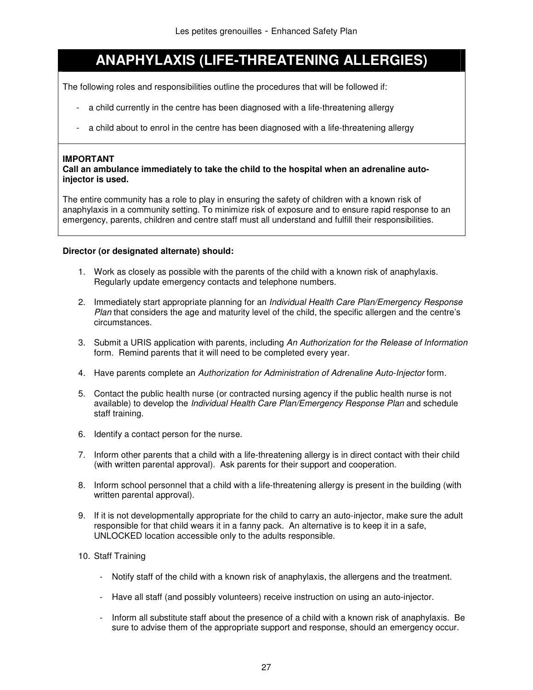# **ANAPHYLAXIS (LIFE-THREATENING ALLERGIES)**

The following roles and responsibilities outline the procedures that will be followed if:

- a child currently in the centre has been diagnosed with a life-threatening allergy
- a child about to enrol in the centre has been diagnosed with a life-threatening allergy

#### **IMPORTANT**

**Call an ambulance immediately to take the child to the hospital when an adrenaline autoinjector is used.** 

The entire community has a role to play in ensuring the safety of children with a known risk of anaphylaxis in a community setting. To minimize risk of exposure and to ensure rapid response to an emergency, parents, children and centre staff must all understand and fulfill their responsibilities.

- 1. Work as closely as possible with the parents of the child with a known risk of anaphylaxis. Regularly update emergency contacts and telephone numbers.
- 2. Immediately start appropriate planning for an Individual Health Care Plan/Emergency Response Plan that considers the age and maturity level of the child, the specific allergen and the centre's circumstances.
- 3. Submit a URIS application with parents, including An Authorization for the Release of Information form. Remind parents that it will need to be completed every year.
- 4. Have parents complete an Authorization for Administration of Adrenaline Auto-Injector form.
- 5. Contact the public health nurse (or contracted nursing agency if the public health nurse is not available) to develop the *Individual Health Care Plan*/Emergency Response Plan and schedule staff training.
- 6. Identify a contact person for the nurse.
- 7. Inform other parents that a child with a life-threatening allergy is in direct contact with their child (with written parental approval). Ask parents for their support and cooperation.
- 8. Inform school personnel that a child with a life-threatening allergy is present in the building (with written parental approval).
- 9. If it is not developmentally appropriate for the child to carry an auto-injector, make sure the adult responsible for that child wears it in a fanny pack. An alternative is to keep it in a safe, UNLOCKED location accessible only to the adults responsible.
- 10. Staff Training
	- Notify staff of the child with a known risk of anaphylaxis, the allergens and the treatment.
	- Have all staff (and possibly volunteers) receive instruction on using an auto-injector.
	- Inform all substitute staff about the presence of a child with a known risk of anaphylaxis. Be sure to advise them of the appropriate support and response, should an emergency occur.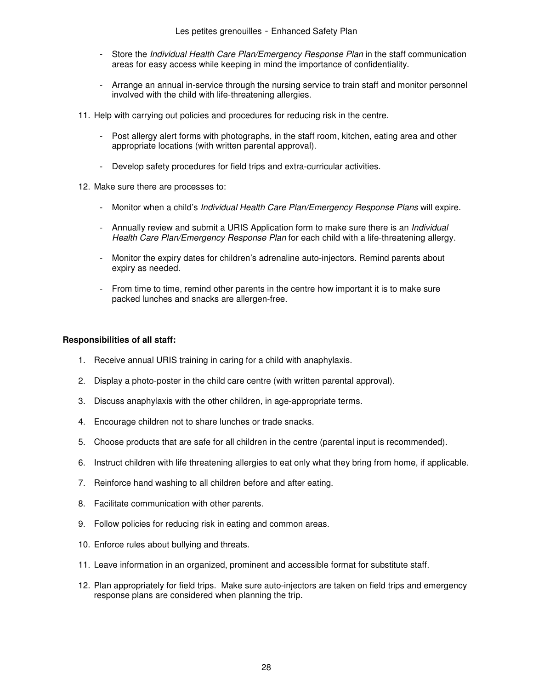- Store the Individual Health Care Plan/Emergency Response Plan in the staff communication areas for easy access while keeping in mind the importance of confidentiality.
- Arrange an annual in-service through the nursing service to train staff and monitor personnel involved with the child with life-threatening allergies.
- 11. Help with carrying out policies and procedures for reducing risk in the centre.
	- Post allergy alert forms with photographs, in the staff room, kitchen, eating area and other appropriate locations (with written parental approval).
	- Develop safety procedures for field trips and extra-curricular activities.
- 12. Make sure there are processes to:
	- Monitor when a child's *Individual Health Care Plan/Emergency Response Plans* will expire.
	- Annually review and submit a URIS Application form to make sure there is an *Individual* Health Care Plan/Emergency Response Plan for each child with a life-threatening allergy.
	- Monitor the expiry dates for children's adrenaline auto-injectors. Remind parents about expiry as needed.
	- From time to time, remind other parents in the centre how important it is to make sure packed lunches and snacks are allergen-free.

#### **Responsibilities of all staff:**

- 1. Receive annual URIS training in caring for a child with anaphylaxis.
- 2. Display a photo-poster in the child care centre (with written parental approval).
- 3. Discuss anaphylaxis with the other children, in age-appropriate terms.
- 4. Encourage children not to share lunches or trade snacks.
- 5. Choose products that are safe for all children in the centre (parental input is recommended).
- 6. Instruct children with life threatening allergies to eat only what they bring from home, if applicable.
- 7. Reinforce hand washing to all children before and after eating.
- 8. Facilitate communication with other parents.
- 9. Follow policies for reducing risk in eating and common areas.
- 10. Enforce rules about bullying and threats.
- 11. Leave information in an organized, prominent and accessible format for substitute staff.
- 12. Plan appropriately for field trips. Make sure auto-injectors are taken on field trips and emergency response plans are considered when planning the trip.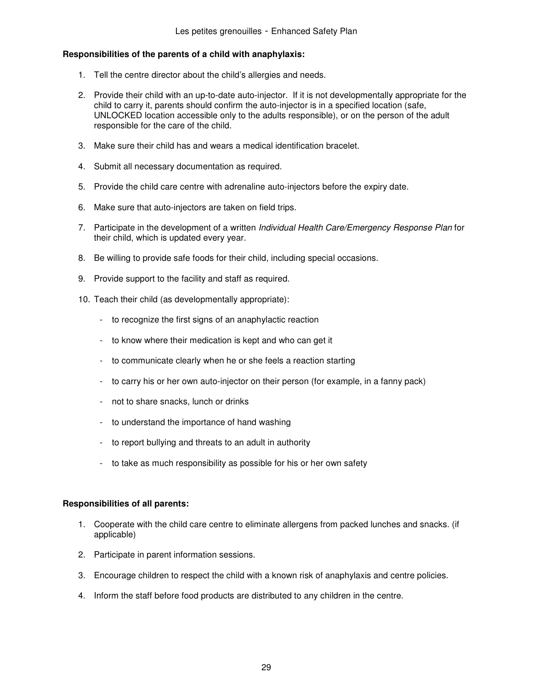#### **Responsibilities of the parents of a child with anaphylaxis:**

- 1. Tell the centre director about the child's allergies and needs.
- 2. Provide their child with an up-to-date auto-injector. If it is not developmentally appropriate for the child to carry it, parents should confirm the auto-injector is in a specified location (safe, UNLOCKED location accessible only to the adults responsible), or on the person of the adult responsible for the care of the child.
- 3. Make sure their child has and wears a medical identification bracelet.
- 4. Submit all necessary documentation as required.
- 5. Provide the child care centre with adrenaline auto-injectors before the expiry date.
- 6. Make sure that auto-injectors are taken on field trips.
- 7. Participate in the development of a written Individual Health Care/Emergency Response Plan for their child, which is updated every year.
- 8. Be willing to provide safe foods for their child, including special occasions.
- 9. Provide support to the facility and staff as required.
- 10. Teach their child (as developmentally appropriate):
	- to recognize the first signs of an anaphylactic reaction
	- to know where their medication is kept and who can get it
	- to communicate clearly when he or she feels a reaction starting
	- to carry his or her own auto-injector on their person (for example, in a fanny pack)
	- not to share snacks, lunch or drinks
	- to understand the importance of hand washing
	- to report bullying and threats to an adult in authority
	- to take as much responsibility as possible for his or her own safety

#### **Responsibilities of all parents:**

- 1. Cooperate with the child care centre to eliminate allergens from packed lunches and snacks. (if applicable)
- 2. Participate in parent information sessions.
- 3. Encourage children to respect the child with a known risk of anaphylaxis and centre policies.
- 4. Inform the staff before food products are distributed to any children in the centre.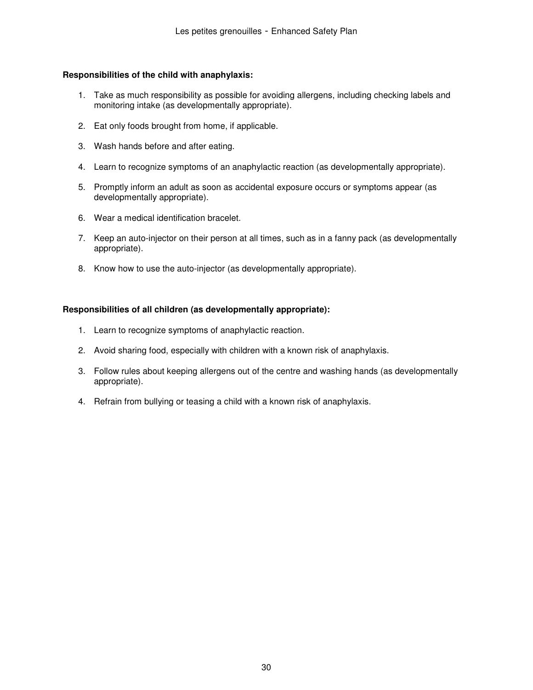#### **Responsibilities of the child with anaphylaxis:**

- 1. Take as much responsibility as possible for avoiding allergens, including checking labels and monitoring intake (as developmentally appropriate).
- 2. Eat only foods brought from home, if applicable.
- 3. Wash hands before and after eating.
- 4. Learn to recognize symptoms of an anaphylactic reaction (as developmentally appropriate).
- 5. Promptly inform an adult as soon as accidental exposure occurs or symptoms appear (as developmentally appropriate).
- 6. Wear a medical identification bracelet.
- 7. Keep an auto-injector on their person at all times, such as in a fanny pack (as developmentally appropriate).
- 8. Know how to use the auto-injector (as developmentally appropriate).

#### **Responsibilities of all children (as developmentally appropriate):**

- 1. Learn to recognize symptoms of anaphylactic reaction.
- 2. Avoid sharing food, especially with children with a known risk of anaphylaxis.
- 3. Follow rules about keeping allergens out of the centre and washing hands (as developmentally appropriate).
- 4. Refrain from bullying or teasing a child with a known risk of anaphylaxis.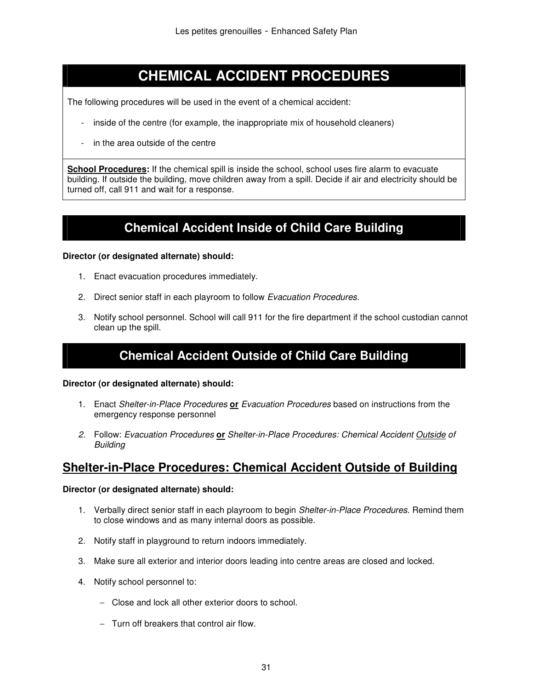# **CHEMICAL ACCIDENT PROCEDURES**

The following procedures will be used in the event of a chemical accident:

- inside of the centre (for example, the inappropriate mix of household cleaners)
- in the area outside of the centre

**School Procedures:** If the chemical spill is inside the school, school uses fire alarm to evacuate building. If outside the building, move children away from a spill. Decide if air and electricity should be turned off, call 911 and wait for a response.

# **Chemical Accident Inside of Child Care Building**

#### **Director (or designated alternate) should:**

- 1. Enact evacuation procedures immediately.
- 2. Direct senior staff in each playroom to follow Evacuation Procedures.
- 3. Notify school personnel. School will call 911 for the fire department if the school custodian cannot clean up the spill.

# **Chemical Accident Outside of Child Care Building**

#### **Director (or designated alternate) should:**

- 1. Enact Shelter-in-Place Procedures **or** Evacuation Procedures based on instructions from the emergency response personnel
- 2. Follow: Evacuation Procedures **or** Shelter-in-Place Procedures: Chemical Accident Outside of **Building**

## **Shelter-in-Place Procedures: Chemical Accident Outside of Building**

- 1. Verbally direct senior staff in each playroom to begin Shelter-in-Place Procedures. Remind them to close windows and as many internal doors as possible.
- 2. Notify staff in playground to return indoors immediately.
- 3. Make sure all exterior and interior doors leading into centre areas are closed and locked.
- 4. Notify school personnel to:
	- − Close and lock all other exterior doors to school.
	- − Turn off breakers that control air flow.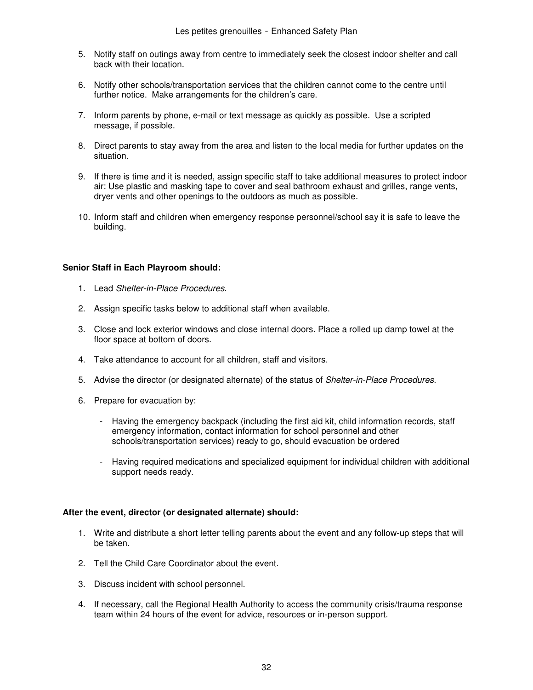- 5. Notify staff on outings away from centre to immediately seek the closest indoor shelter and call back with their location.
- 6. Notify other schools/transportation services that the children cannot come to the centre until further notice. Make arrangements for the children's care.
- 7. Inform parents by phone, e-mail or text message as quickly as possible. Use a scripted message, if possible.
- 8. Direct parents to stay away from the area and listen to the local media for further updates on the situation.
- 9. If there is time and it is needed, assign specific staff to take additional measures to protect indoor air: Use plastic and masking tape to cover and seal bathroom exhaust and grilles, range vents, dryer vents and other openings to the outdoors as much as possible.
- 10. Inform staff and children when emergency response personnel/school say it is safe to leave the building.

#### **Senior Staff in Each Playroom should:**

- 1. Lead Shelter-in-Place Procedures.
- 2. Assign specific tasks below to additional staff when available.
- 3. Close and lock exterior windows and close internal doors. Place a rolled up damp towel at the floor space at bottom of doors.
- 4. Take attendance to account for all children, staff and visitors.
- 5. Advise the director (or designated alternate) of the status of Shelter-in-Place Procedures.
- 6. Prepare for evacuation by:
	- Having the emergency backpack (including the first aid kit, child information records, staff emergency information, contact information for school personnel and other schools/transportation services) ready to go, should evacuation be ordered
	- Having required medications and specialized equipment for individual children with additional support needs ready.

#### **After the event, director (or designated alternate) should:**

- 1. Write and distribute a short letter telling parents about the event and any follow-up steps that will be taken.
- 2. Tell the Child Care Coordinator about the event.
- 3. Discuss incident with school personnel.
- 4. If necessary, call the Regional Health Authority to access the community crisis/trauma response team within 24 hours of the event for advice, resources or in-person support.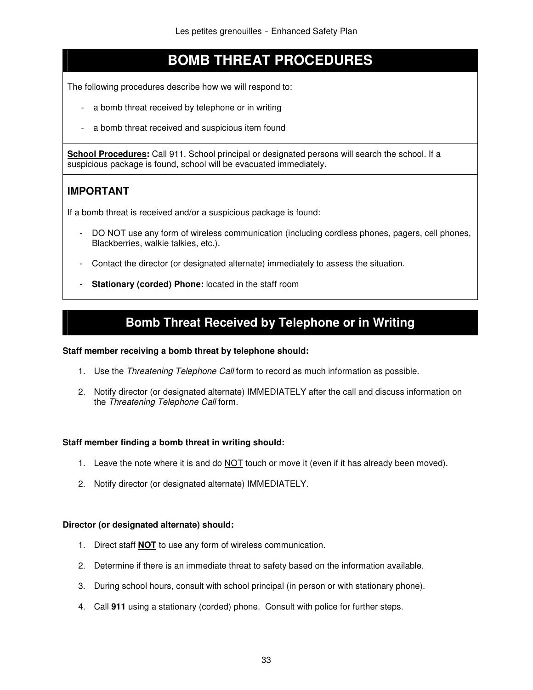# **BOMB THREAT PROCEDURES**

The following procedures describe how we will respond to:

- a bomb threat received by telephone or in writing
- a bomb threat received and suspicious item found

**School Procedures:** Call 911. School principal or designated persons will search the school. If a suspicious package is found, school will be evacuated immediately.

## **IMPORTANT**

If a bomb threat is received and/or a suspicious package is found:

- DO NOT use any form of wireless communication (including cordless phones, pagers, cell phones, Blackberries, walkie talkies, etc.).
- Contact the director (or designated alternate) immediately to assess the situation.
- **Stationary (corded) Phone:** located in the staff room

# **Bomb Threat Received by Telephone or in Writing**

#### **Staff member receiving a bomb threat by telephone should:**

- 1. Use the Threatening Telephone Call form to record as much information as possible.
- 2. Notify director (or designated alternate) IMMEDIATELY after the call and discuss information on the Threatening Telephone Call form.

#### **Staff member finding a bomb threat in writing should:**

- 1. Leave the note where it is and do  $NOT$  touch or move it (even if it has already been moved).
- 2. Notify director (or designated alternate) IMMEDIATELY.

- 1. Direct staff **NOT** to use any form of wireless communication.
- 2. Determine if there is an immediate threat to safety based on the information available.
- 3. During school hours, consult with school principal (in person or with stationary phone).
- 4. Call **911** using a stationary (corded) phone. Consult with police for further steps.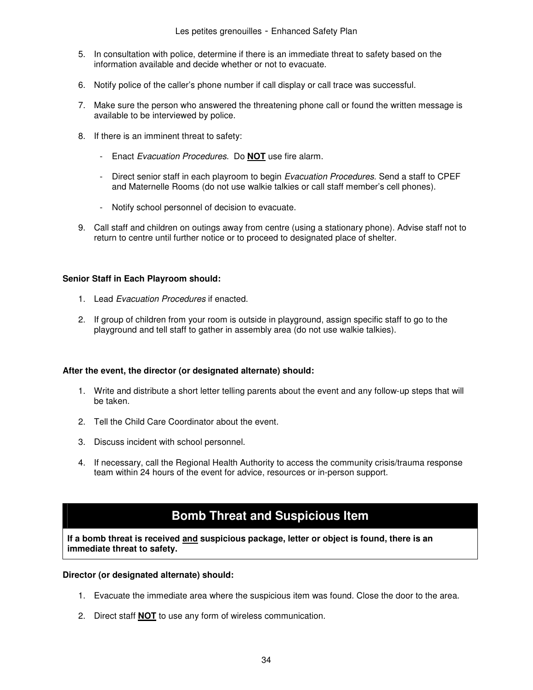- 5. In consultation with police, determine if there is an immediate threat to safety based on the information available and decide whether or not to evacuate.
- 6. Notify police of the caller's phone number if call display or call trace was successful.
- 7. Make sure the person who answered the threatening phone call or found the written message is available to be interviewed by police.
- 8. If there is an imminent threat to safety:
	- Enact Evacuation Procedures. Do **NOT** use fire alarm.
	- Direct senior staff in each playroom to begin Evacuation Procedures. Send a staff to CPEF and Maternelle Rooms (do not use walkie talkies or call staff member's cell phones).
	- Notify school personnel of decision to evacuate.
- 9. Call staff and children on outings away from centre (using a stationary phone). Advise staff not to return to centre until further notice or to proceed to designated place of shelter.

#### **Senior Staff in Each Playroom should:**

- 1. Lead Evacuation Procedures if enacted.
- 2. If group of children from your room is outside in playground, assign specific staff to go to the playground and tell staff to gather in assembly area (do not use walkie talkies).

#### **After the event, the director (or designated alternate) should:**

- 1. Write and distribute a short letter telling parents about the event and any follow-up steps that will be taken.
- 2. Tell the Child Care Coordinator about the event.
- 3. Discuss incident with school personnel.
- 4. If necessary, call the Regional Health Authority to access the community crisis/trauma response team within 24 hours of the event for advice, resources or in-person support.

## **Bomb Threat and Suspicious Item**

**If a bomb threat is received and suspicious package, letter or object is found, there is an immediate threat to safety.** 

- 1. Evacuate the immediate area where the suspicious item was found. Close the door to the area.
- 2. Direct staff **NOT** to use any form of wireless communication.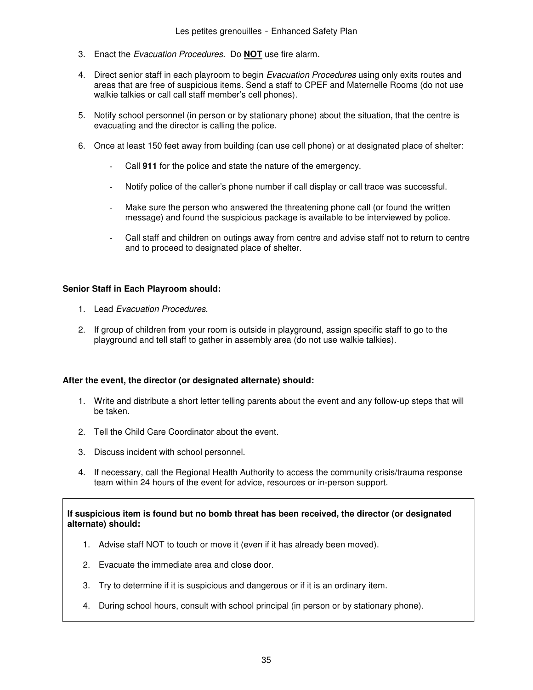- 3. Enact the Evacuation Procedures. Do **NOT** use fire alarm.
- 4. Direct senior staff in each playroom to begin Evacuation Procedures using only exits routes and areas that are free of suspicious items. Send a staff to CPEF and Maternelle Rooms (do not use walkie talkies or call call staff member's cell phones).
- 5. Notify school personnel (in person or by stationary phone) about the situation, that the centre is evacuating and the director is calling the police.
- 6. Once at least 150 feet away from building (can use cell phone) or at designated place of shelter:
	- Call **911** for the police and state the nature of the emergency.
	- Notify police of the caller's phone number if call display or call trace was successful.
	- Make sure the person who answered the threatening phone call (or found the written message) and found the suspicious package is available to be interviewed by police.
	- Call staff and children on outings away from centre and advise staff not to return to centre and to proceed to designated place of shelter.

#### **Senior Staff in Each Playroom should:**

- 1. Lead Evacuation Procedures.
- 2. If group of children from your room is outside in playground, assign specific staff to go to the playground and tell staff to gather in assembly area (do not use walkie talkies).

#### **After the event, the director (or designated alternate) should:**

- 1. Write and distribute a short letter telling parents about the event and any follow-up steps that will be taken.
- 2. Tell the Child Care Coordinator about the event.
- 3. Discuss incident with school personnel.
- 4. If necessary, call the Regional Health Authority to access the community crisis/trauma response team within 24 hours of the event for advice, resources or in-person support.

#### **If suspicious item is found but no bomb threat has been received, the director (or designated alternate) should:**

- 1. Advise staff NOT to touch or move it (even if it has already been moved).
- 2. Evacuate the immediate area and close door.
- 3. Try to determine if it is suspicious and dangerous or if it is an ordinary item.
- 4. During school hours, consult with school principal (in person or by stationary phone).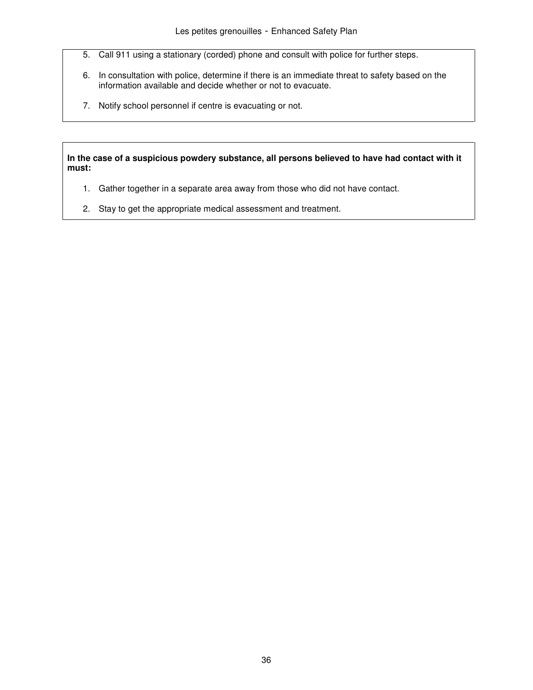- 5. Call 911 using a stationary (corded) phone and consult with police for further steps.
- 6. In consultation with police, determine if there is an immediate threat to safety based on the information available and decide whether or not to evacuate.
- 7. Notify school personnel if centre is evacuating or not.

**In the case of a suspicious powdery substance, all persons believed to have had contact with it must:** 

- 1. Gather together in a separate area away from those who did not have contact.
- 2. Stay to get the appropriate medical assessment and treatment.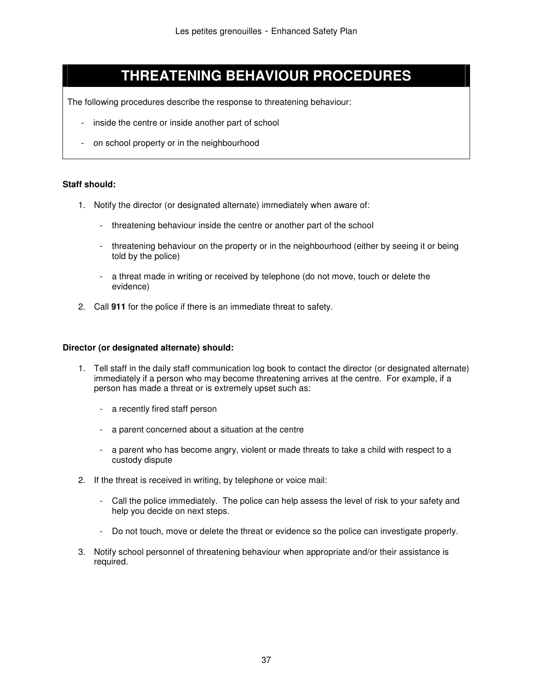# **THREATENING BEHAVIOUR PROCEDURES**

The following procedures describe the response to threatening behaviour:

- inside the centre or inside another part of school
- on school property or in the neighbourhood

#### **Staff should:**

- 1. Notify the director (or designated alternate) immediately when aware of:
	- threatening behaviour inside the centre or another part of the school
	- threatening behaviour on the property or in the neighbourhood (either by seeing it or being told by the police)
	- a threat made in writing or received by telephone (do not move, touch or delete the evidence)
- 2. Call **911** for the police if there is an immediate threat to safety.

- 1. Tell staff in the daily staff communication log book to contact the director (or designated alternate) immediately if a person who may become threatening arrives at the centre. For example, if a person has made a threat or is extremely upset such as:
	- a recently fired staff person
	- a parent concerned about a situation at the centre
	- a parent who has become angry, violent or made threats to take a child with respect to a custody dispute
- 2. If the threat is received in writing, by telephone or voice mail:
	- Call the police immediately. The police can help assess the level of risk to your safety and help you decide on next steps.
	- Do not touch, move or delete the threat or evidence so the police can investigate properly.
- 3. Notify school personnel of threatening behaviour when appropriate and/or their assistance is required.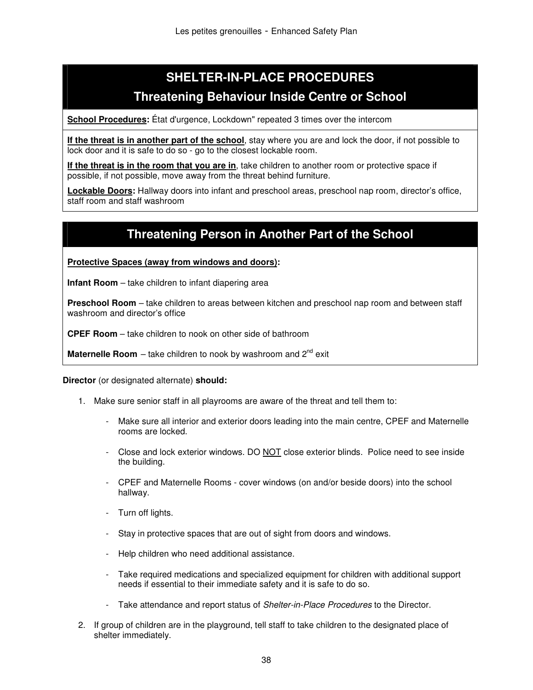# **SHELTER-IN-PLACE PROCEDURES Threatening Behaviour Inside Centre or School**

**School Procedures:** État d'urgence, Lockdown" repeated 3 times over the intercom

**If the threat is in another part of the school**, stay where you are and lock the door, if not possible to lock door and it is safe to do so - go to the closest lockable room.

**If the threat is in the room that you are in**, take children to another room or protective space if possible, if not possible, move away from the threat behind furniture.

**Lockable Doors:** Hallway doors into infant and preschool areas, preschool nap room, director's office, staff room and staff washroom

# **Threatening Person in Another Part of the School**

**Protective Spaces (away from windows and doors):** 

**Infant Room** – take children to infant diapering area

**Preschool Room** – take children to areas between kitchen and preschool nap room and between staff washroom and director's office

**CPEF Room** – take children to nook on other side of bathroom

**Maternelle Room** – take children to nook by washroom and 2<sup>nd</sup> exit

- 1. Make sure senior staff in all playrooms are aware of the threat and tell them to:
	- Make sure all interior and exterior doors leading into the main centre, CPEF and Maternelle rooms are locked.
	- Close and lock exterior windows. DO NOT close exterior blinds. Police need to see inside the building.
	- CPEF and Maternelle Rooms cover windows (on and/or beside doors) into the school hallway.
	- Turn off lights.
	- Stay in protective spaces that are out of sight from doors and windows.
	- Help children who need additional assistance.
	- Take required medications and specialized equipment for children with additional support needs if essential to their immediate safety and it is safe to do so.
	- Take attendance and report status of Shelter-in-Place Procedures to the Director.
- 2. If group of children are in the playground, tell staff to take children to the designated place of shelter immediately.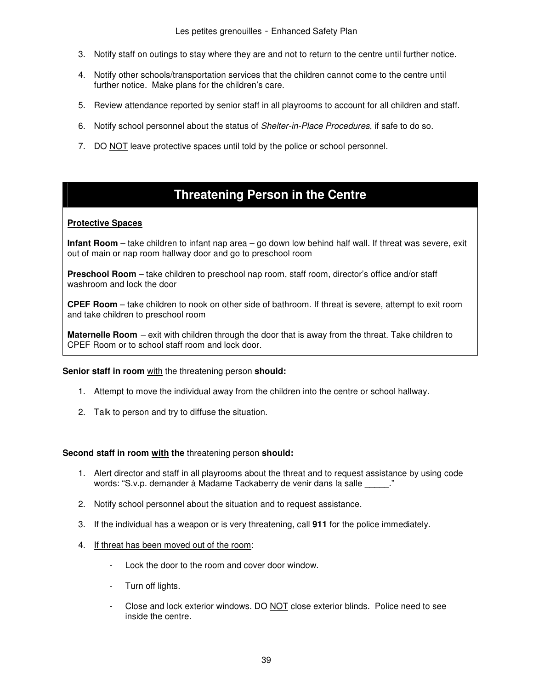- 3. Notify staff on outings to stay where they are and not to return to the centre until further notice.
- 4. Notify other schools/transportation services that the children cannot come to the centre until further notice. Make plans for the children's care.
- 5. Review attendance reported by senior staff in all playrooms to account for all children and staff.
- 6. Notify school personnel about the status of Shelter-in-Place Procedures, if safe to do so.
- 7. DO NOT leave protective spaces until told by the police or school personnel.

# **Threatening Person in the Centre**

#### **Protective Spaces**

**Infant Room** – take children to infant nap area – go down low behind half wall. If threat was severe, exit out of main or nap room hallway door and go to preschool room

**Preschool Room** – take children to preschool nap room, staff room, director's office and/or staff washroom and lock the door

**CPEF Room** – take children to nook on other side of bathroom. If threat is severe, attempt to exit room and take children to preschool room

**Maternelle Room** – exit with children through the door that is away from the threat. Take children to CPEF Room or to school staff room and lock door.

#### **Senior staff in room** with the threatening person **should:**

- 1. Attempt to move the individual away from the children into the centre or school hallway.
- 2. Talk to person and try to diffuse the situation.

#### **Second staff in room with the** threatening person **should:**

- 1. Alert director and staff in all playrooms about the threat and to request assistance by using code words: "S.v.p. demander à Madame Tackaberry de venir dans la salle \_\_\_\_\_."
- 2. Notify school personnel about the situation and to request assistance.
- 3. If the individual has a weapon or is very threatening, call **911** for the police immediately.
- 4. If threat has been moved out of the room:
	- Lock the door to the room and cover door window.
	- Turn off lights.
	- Close and lock exterior windows. DO NOT close exterior blinds. Police need to see inside the centre.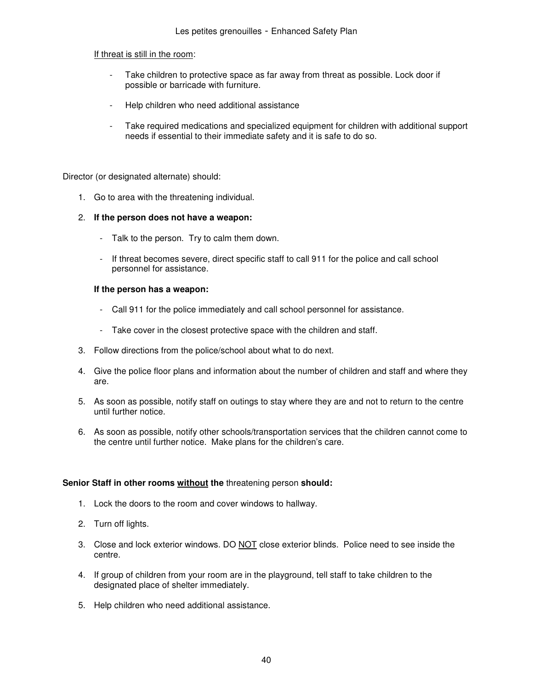#### If threat is still in the room:

- Take children to protective space as far away from threat as possible. Lock door if possible or barricade with furniture.
- Help children who need additional assistance
- Take required medications and specialized equipment for children with additional support needs if essential to their immediate safety and it is safe to do so.

Director (or designated alternate) should:

1. Go to area with the threatening individual.

#### 2. **If the person does not have a weapon:**

- Talk to the person. Try to calm them down.
- If threat becomes severe, direct specific staff to call 911 for the police and call school personnel for assistance.

#### **If the person has a weapon:**

- Call 911 for the police immediately and call school personnel for assistance.
- Take cover in the closest protective space with the children and staff.
- 3. Follow directions from the police/school about what to do next.
- 4. Give the police floor plans and information about the number of children and staff and where they are.
- 5. As soon as possible, notify staff on outings to stay where they are and not to return to the centre until further notice.
- 6. As soon as possible, notify other schools/transportation services that the children cannot come to the centre until further notice. Make plans for the children's care.

#### **Senior Staff in other rooms without the** threatening person **should:**

- 1. Lock the doors to the room and cover windows to hallway.
- 2. Turn off lights.
- 3. Close and lock exterior windows. DO NOT close exterior blinds. Police need to see inside the centre.
- 4. If group of children from your room are in the playground, tell staff to take children to the designated place of shelter immediately.
- 5. Help children who need additional assistance.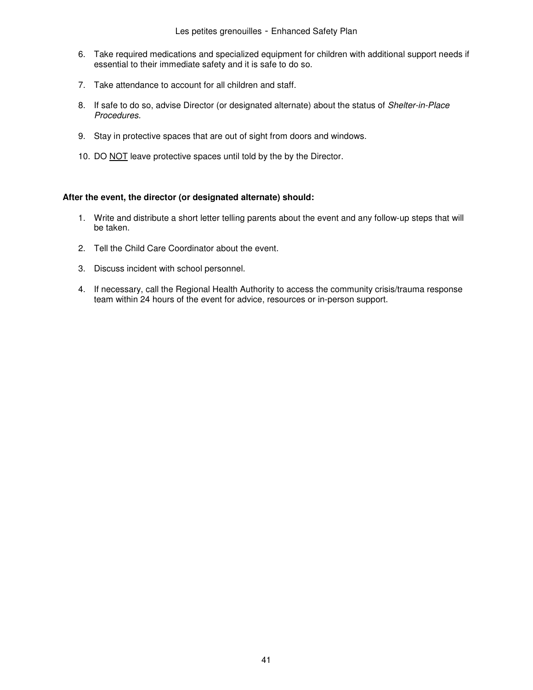- 6. Take required medications and specialized equipment for children with additional support needs if essential to their immediate safety and it is safe to do so.
- 7. Take attendance to account for all children and staff.
- 8. If safe to do so, advise Director (or designated alternate) about the status of Shelter-in-Place Procedures.
- 9. Stay in protective spaces that are out of sight from doors and windows.
- 10. DO NOT leave protective spaces until told by the by the Director.

#### **After the event, the director (or designated alternate) should:**

- 1. Write and distribute a short letter telling parents about the event and any follow-up steps that will be taken.
- 2. Tell the Child Care Coordinator about the event.
- 3. Discuss incident with school personnel.
- 4. If necessary, call the Regional Health Authority to access the community crisis/trauma response team within 24 hours of the event for advice, resources or in-person support.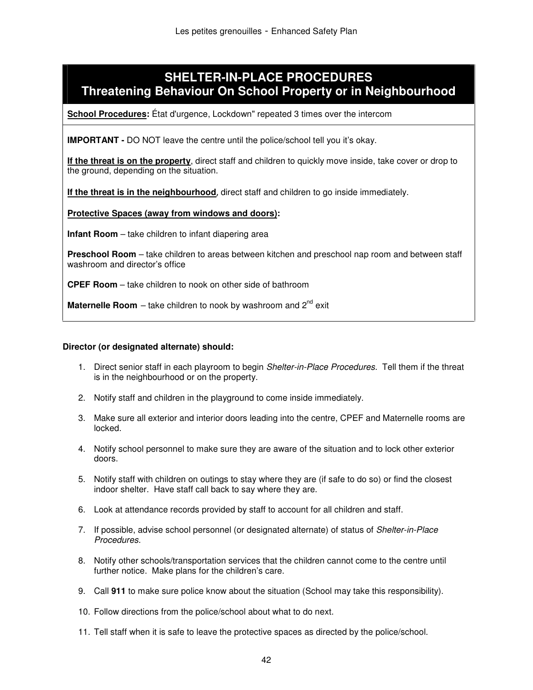## **SHELTER-IN-PLACE PROCEDURES Threatening Behaviour On School Property or in Neighbourhood**

**School Procedures:** État d'urgence, Lockdown" repeated 3 times over the intercom

**IMPORTANT -** DO NOT leave the centre until the police/school tell you it's okay.

**If the threat is on the property**, direct staff and children to quickly move inside, take cover or drop to the ground, depending on the situation.

**If the threat is in the neighbourhood**, direct staff and children to go inside immediately.

**Protective Spaces (away from windows and doors):** 

**Infant Room** – take children to infant diapering area

**Preschool Room** – take children to areas between kitchen and preschool nap room and between staff washroom and director's office

**CPEF Room** – take children to nook on other side of bathroom

**Maternelle Room** – take children to nook by washroom and  $2^{nd}$  exit

- 1. Direct senior staff in each playroom to begin *Shelter-in-Place Procedures*. Tell them if the threat is in the neighbourhood or on the property.
- 2. Notify staff and children in the playground to come inside immediately.
- 3. Make sure all exterior and interior doors leading into the centre, CPEF and Maternelle rooms are locked.
- 4. Notify school personnel to make sure they are aware of the situation and to lock other exterior doors.
- 5. Notify staff with children on outings to stay where they are (if safe to do so) or find the closest indoor shelter. Have staff call back to say where they are.
- 6. Look at attendance records provided by staff to account for all children and staff.
- 7. If possible, advise school personnel (or designated alternate) of status of Shelter-in-Place Procedures.
- 8. Notify other schools/transportation services that the children cannot come to the centre until further notice. Make plans for the children's care.
- 9. Call **911** to make sure police know about the situation (School may take this responsibility).
- 10. Follow directions from the police/school about what to do next.
- 11. Tell staff when it is safe to leave the protective spaces as directed by the police/school.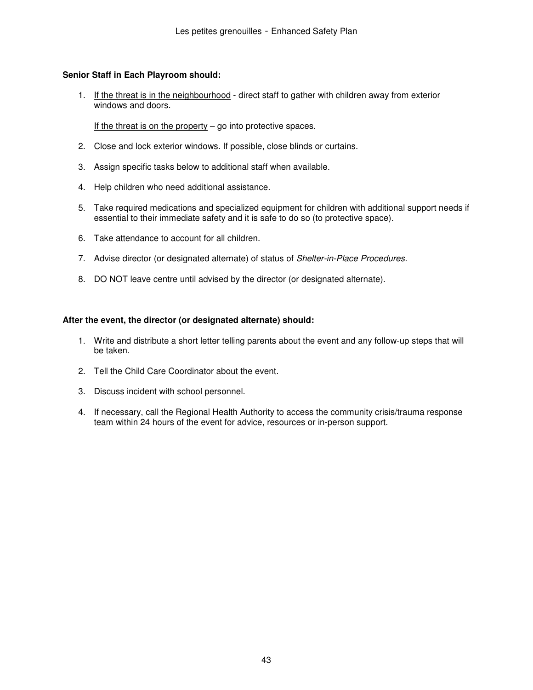#### **Senior Staff in Each Playroom should:**

1. If the threat is in the neighbourhood - direct staff to gather with children away from exterior windows and doors.

If the threat is on the property  $-$  go into protective spaces.

- 2. Close and lock exterior windows. If possible, close blinds or curtains.
- 3. Assign specific tasks below to additional staff when available.
- 4. Help children who need additional assistance.
- 5. Take required medications and specialized equipment for children with additional support needs if essential to their immediate safety and it is safe to do so (to protective space).
- 6. Take attendance to account for all children.
- 7. Advise director (or designated alternate) of status of Shelter-in-Place Procedures.
- 8. DO NOT leave centre until advised by the director (or designated alternate).

#### **After the event, the director (or designated alternate) should:**

- 1. Write and distribute a short letter telling parents about the event and any follow-up steps that will be taken.
- 2. Tell the Child Care Coordinator about the event.
- 3. Discuss incident with school personnel.
- 4. If necessary, call the Regional Health Authority to access the community crisis/trauma response team within 24 hours of the event for advice, resources or in-person support.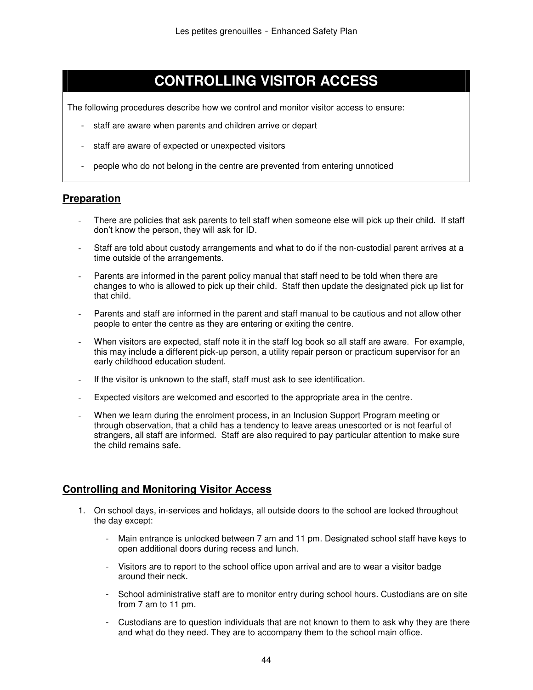# **CONTROLLING VISITOR ACCESS**

The following procedures describe how we control and monitor visitor access to ensure:

- staff are aware when parents and children arrive or depart
- staff are aware of expected or unexpected visitors
- people who do not belong in the centre are prevented from entering unnoticed

#### **Preparation**

- There are policies that ask parents to tell staff when someone else will pick up their child. If staff don't know the person, they will ask for ID.
- Staff are told about custody arrangements and what to do if the non-custodial parent arrives at a time outside of the arrangements.
- Parents are informed in the parent policy manual that staff need to be told when there are changes to who is allowed to pick up their child. Staff then update the designated pick up list for that child.
- Parents and staff are informed in the parent and staff manual to be cautious and not allow other people to enter the centre as they are entering or exiting the centre.
- When visitors are expected, staff note it in the staff log book so all staff are aware. For example, this may include a different pick-up person, a utility repair person or practicum supervisor for an early childhood education student.
- If the visitor is unknown to the staff, staff must ask to see identification.
- Expected visitors are welcomed and escorted to the appropriate area in the centre.
- When we learn during the enrolment process, in an Inclusion Support Program meeting or through observation, that a child has a tendency to leave areas unescorted or is not fearful of strangers, all staff are informed. Staff are also required to pay particular attention to make sure the child remains safe.

#### **Controlling and Monitoring Visitor Access**

- 1. On school days, in-services and holidays, all outside doors to the school are locked throughout the day except:
	- Main entrance is unlocked between 7 am and 11 pm. Designated school staff have keys to open additional doors during recess and lunch.
	- Visitors are to report to the school office upon arrival and are to wear a visitor badge around their neck.
	- School administrative staff are to monitor entry during school hours. Custodians are on site from 7 am to 11 pm.
	- Custodians are to question individuals that are not known to them to ask why they are there and what do they need. They are to accompany them to the school main office.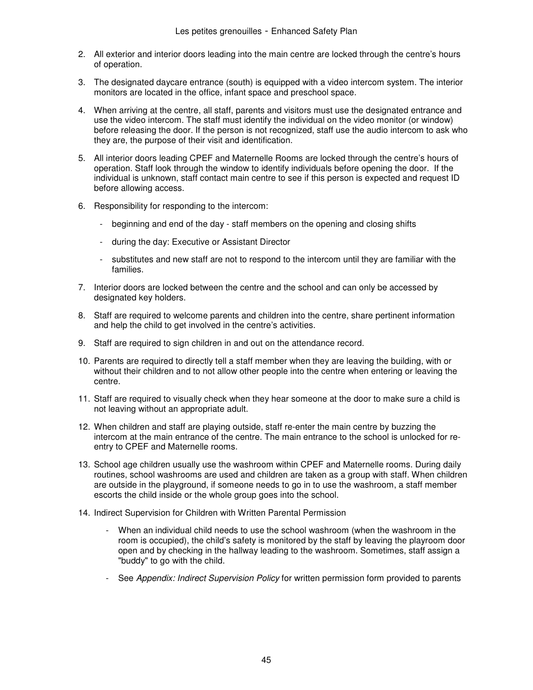- 2. All exterior and interior doors leading into the main centre are locked through the centre's hours of operation.
- 3. The designated daycare entrance (south) is equipped with a video intercom system. The interior monitors are located in the office, infant space and preschool space.
- 4. When arriving at the centre, all staff, parents and visitors must use the designated entrance and use the video intercom. The staff must identify the individual on the video monitor (or window) before releasing the door. If the person is not recognized, staff use the audio intercom to ask who they are, the purpose of their visit and identification.
- 5. All interior doors leading CPEF and Maternelle Rooms are locked through the centre's hours of operation. Staff look through the window to identify individuals before opening the door. If the individual is unknown, staff contact main centre to see if this person is expected and request ID before allowing access.
- 6. Responsibility for responding to the intercom:
	- beginning and end of the day staff members on the opening and closing shifts
	- during the day: Executive or Assistant Director
	- substitutes and new staff are not to respond to the intercom until they are familiar with the families.
- 7. Interior doors are locked between the centre and the school and can only be accessed by designated key holders.
- 8. Staff are required to welcome parents and children into the centre, share pertinent information and help the child to get involved in the centre's activities.
- 9. Staff are required to sign children in and out on the attendance record.
- 10. Parents are required to directly tell a staff member when they are leaving the building, with or without their children and to not allow other people into the centre when entering or leaving the centre.
- 11. Staff are required to visually check when they hear someone at the door to make sure a child is not leaving without an appropriate adult.
- 12. When children and staff are playing outside, staff re-enter the main centre by buzzing the intercom at the main entrance of the centre. The main entrance to the school is unlocked for reentry to CPEF and Maternelle rooms.
- 13. School age children usually use the washroom within CPEF and Maternelle rooms. During daily routines, school washrooms are used and children are taken as a group with staff. When children are outside in the playground, if someone needs to go in to use the washroom, a staff member escorts the child inside or the whole group goes into the school.
- 14. Indirect Supervision for Children with Written Parental Permission
	- When an individual child needs to use the school washroom (when the washroom in the room is occupied), the child's safety is monitored by the staff by leaving the playroom door open and by checking in the hallway leading to the washroom. Sometimes, staff assign a "buddy" to go with the child.
	- See Appendix: Indirect Supervision Policy for written permission form provided to parents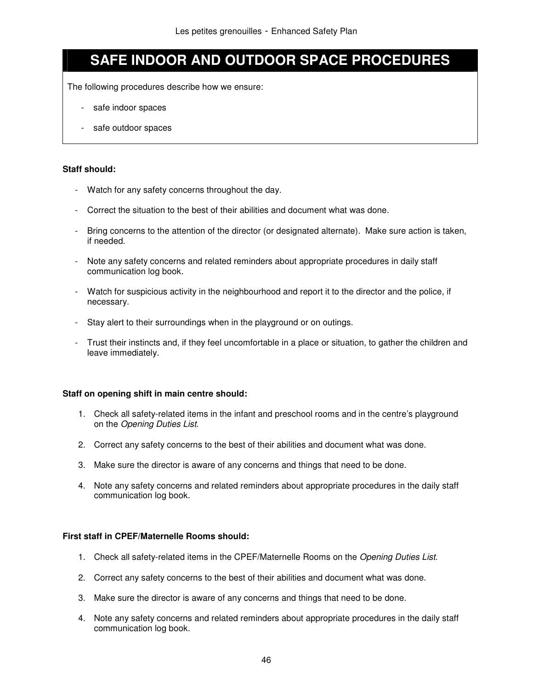# **SAFE INDOOR AND OUTDOOR SPACE PROCEDURES**

The following procedures describe how we ensure:

- safe indoor spaces
- safe outdoor spaces

#### **Staff should:**

- Watch for any safety concerns throughout the day.
- Correct the situation to the best of their abilities and document what was done.
- Bring concerns to the attention of the director (or designated alternate). Make sure action is taken, if needed.
- Note any safety concerns and related reminders about appropriate procedures in daily staff communication log book.
- Watch for suspicious activity in the neighbourhood and report it to the director and the police, if necessary.
- Stay alert to their surroundings when in the playground or on outings.
- Trust their instincts and, if they feel uncomfortable in a place or situation, to gather the children and leave immediately.

#### **Staff on opening shift in main centre should:**

- 1. Check all safety-related items in the infant and preschool rooms and in the centre's playground on the Opening Duties List.
- 2. Correct any safety concerns to the best of their abilities and document what was done.
- 3. Make sure the director is aware of any concerns and things that need to be done.
- 4. Note any safety concerns and related reminders about appropriate procedures in the daily staff communication log book.

#### **First staff in CPEF/Maternelle Rooms should:**

- 1. Check all safety-related items in the CPEF/Maternelle Rooms on the Opening Duties List.
- 2. Correct any safety concerns to the best of their abilities and document what was done.
- 3. Make sure the director is aware of any concerns and things that need to be done.
- 4. Note any safety concerns and related reminders about appropriate procedures in the daily staff communication log book.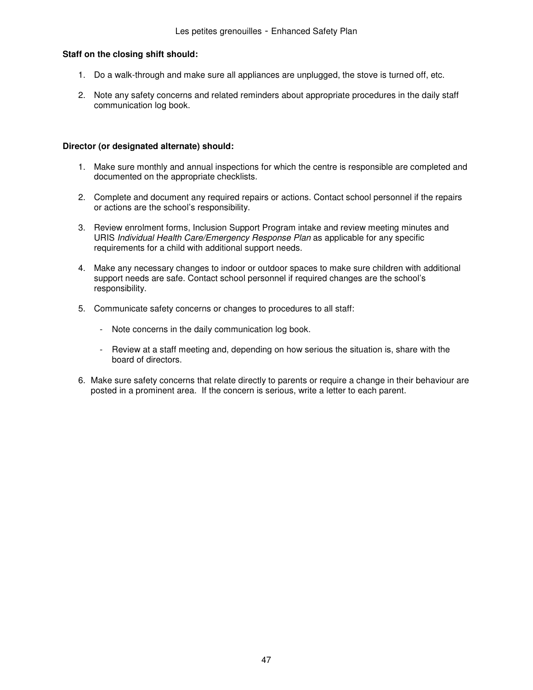#### **Staff on the closing shift should:**

- 1. Do a walk-through and make sure all appliances are unplugged, the stove is turned off, etc.
- 2. Note any safety concerns and related reminders about appropriate procedures in the daily staff communication log book.

- 1. Make sure monthly and annual inspections for which the centre is responsible are completed and documented on the appropriate checklists.
- 2. Complete and document any required repairs or actions. Contact school personnel if the repairs or actions are the school's responsibility.
- 3. Review enrolment forms, Inclusion Support Program intake and review meeting minutes and URIS Individual Health Care/Emergency Response Plan as applicable for any specific requirements for a child with additional support needs.
- 4. Make any necessary changes to indoor or outdoor spaces to make sure children with additional support needs are safe. Contact school personnel if required changes are the school's responsibility.
- 5. Communicate safety concerns or changes to procedures to all staff:
	- Note concerns in the daily communication log book.
	- Review at a staff meeting and, depending on how serious the situation is, share with the board of directors.
- 6. Make sure safety concerns that relate directly to parents or require a change in their behaviour are posted in a prominent area. If the concern is serious, write a letter to each parent.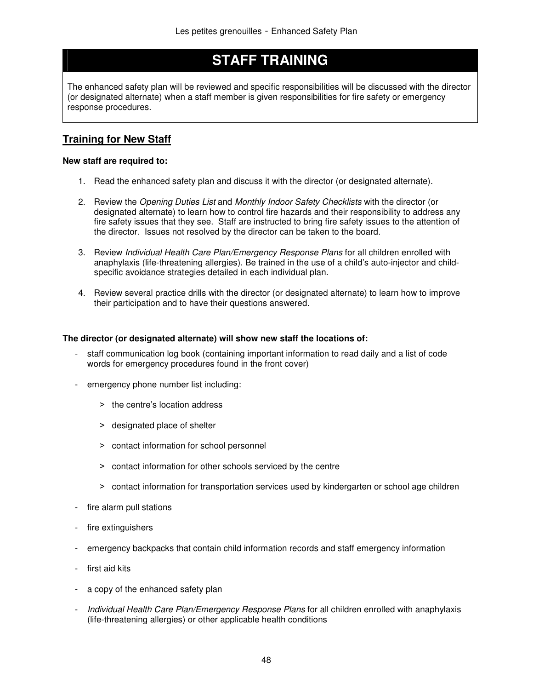# **STAFF TRAINING**

The enhanced safety plan will be reviewed and specific responsibilities will be discussed with the director (or designated alternate) when a staff member is given responsibilities for fire safety or emergency response procedures.

## **Training for New Staff**

#### **New staff are required to:**

- 1. Read the enhanced safety plan and discuss it with the director (or designated alternate).
- 2. Review the Opening Duties List and Monthly Indoor Safety Checklists with the director (or designated alternate) to learn how to control fire hazards and their responsibility to address any fire safety issues that they see. Staff are instructed to bring fire safety issues to the attention of the director. Issues not resolved by the director can be taken to the board.
- 3. Review Individual Health Care Plan/Emergency Response Plans for all children enrolled with anaphylaxis (life-threatening allergies). Be trained in the use of a child's auto-injector and childspecific avoidance strategies detailed in each individual plan.
- 4. Review several practice drills with the director (or designated alternate) to learn how to improve their participation and to have their questions answered.

#### **The director (or designated alternate) will show new staff the locations of:**

- staff communication log book (containing important information to read daily and a list of code words for emergency procedures found in the front cover)
- emergency phone number list including:
	- > the centre's location address
	- > designated place of shelter
	- ˃ contact information for school personnel
	- ˃ contact information for other schools serviced by the centre
	- > contact information for transportation services used by kindergarten or school age children
- fire alarm pull stations
- fire extinguishers
- emergency backpacks that contain child information records and staff emergency information
- first aid kits
- a copy of the enhanced safety plan
- Individual Health Care Plan/Emergency Response Plans for all children enrolled with anaphylaxis (life-threatening allergies) or other applicable health conditions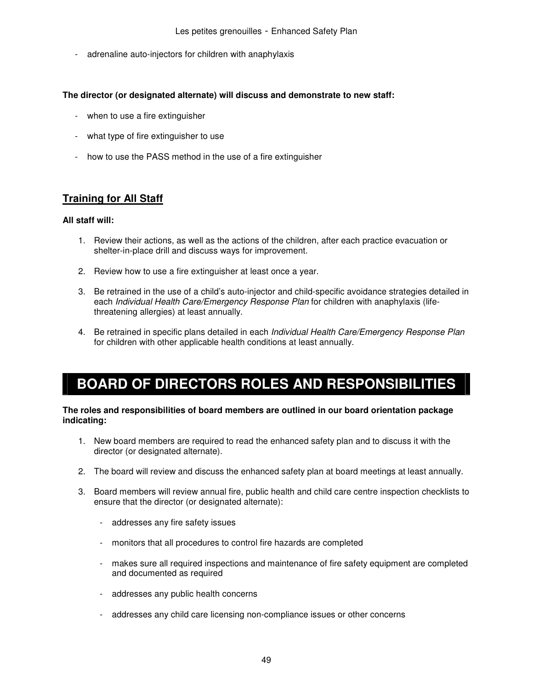- adrenaline auto-injectors for children with anaphylaxis

#### **The director (or designated alternate) will discuss and demonstrate to new staff:**

- when to use a fire extinguisher
- what type of fire extinguisher to use
- how to use the PASS method in the use of a fire extinguisher

## **Training for All Staff**

#### **All staff will:**

- 1. Review their actions, as well as the actions of the children, after each practice evacuation or shelter-in-place drill and discuss ways for improvement.
- 2. Review how to use a fire extinguisher at least once a year.
- 3. Be retrained in the use of a child's auto-injector and child-specific avoidance strategies detailed in each Individual Health Care/Emergency Response Plan for children with anaphylaxis (lifethreatening allergies) at least annually.
- 4. Be retrained in specific plans detailed in each Individual Health Care/Emergency Response Plan for children with other applicable health conditions at least annually.

# **BOARD OF DIRECTORS ROLES AND RESPONSIBILITIES**

#### **The roles and responsibilities of board members are outlined in our board orientation package indicating:**

- 1. New board members are required to read the enhanced safety plan and to discuss it with the director (or designated alternate).
- 2. The board will review and discuss the enhanced safety plan at board meetings at least annually.
- 3. Board members will review annual fire, public health and child care centre inspection checklists to ensure that the director (or designated alternate):
	- addresses any fire safety issues
	- monitors that all procedures to control fire hazards are completed
	- makes sure all required inspections and maintenance of fire safety equipment are completed and documented as required
	- addresses any public health concerns
	- addresses any child care licensing non-compliance issues or other concerns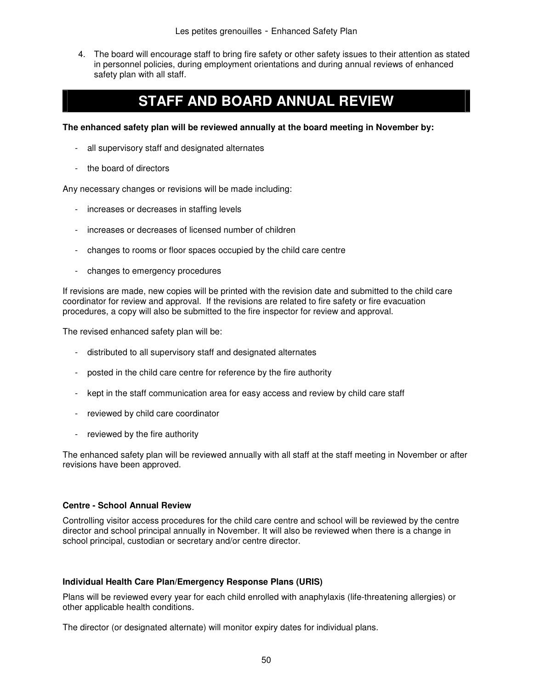4. The board will encourage staff to bring fire safety or other safety issues to their attention as stated in personnel policies, during employment orientations and during annual reviews of enhanced safety plan with all staff.

# **STAFF AND BOARD ANNUAL REVIEW**

**The enhanced safety plan will be reviewed annually at the board meeting in November by:** 

- all supervisory staff and designated alternates
- the board of directors

Any necessary changes or revisions will be made including:

- increases or decreases in staffing levels
- increases or decreases of licensed number of children
- changes to rooms or floor spaces occupied by the child care centre
- changes to emergency procedures

If revisions are made, new copies will be printed with the revision date and submitted to the child care coordinator for review and approval. If the revisions are related to fire safety or fire evacuation procedures, a copy will also be submitted to the fire inspector for review and approval.

The revised enhanced safety plan will be:

- distributed to all supervisory staff and designated alternates
- posted in the child care centre for reference by the fire authority
- kept in the staff communication area for easy access and review by child care staff
- reviewed by child care coordinator
- reviewed by the fire authority

The enhanced safety plan will be reviewed annually with all staff at the staff meeting in November or after revisions have been approved.

#### **Centre - School Annual Review**

Controlling visitor access procedures for the child care centre and school will be reviewed by the centre director and school principal annually in November. It will also be reviewed when there is a change in school principal, custodian or secretary and/or centre director.

#### **Individual Health Care Plan/Emergency Response Plans (URIS)**

Plans will be reviewed every year for each child enrolled with anaphylaxis (life-threatening allergies) or other applicable health conditions.

The director (or designated alternate) will monitor expiry dates for individual plans.